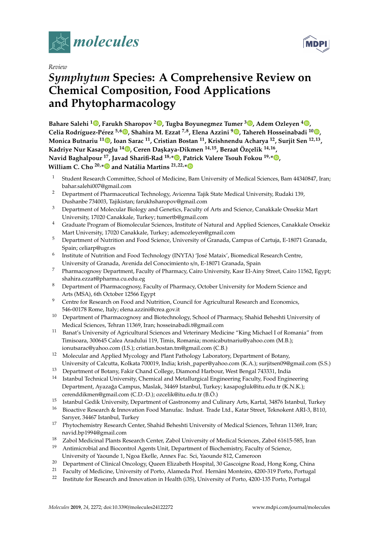

*Review*

# *Symphytum* **Species: A Comprehensive Review on Chemical Composition, Food Applications and Phytopharmacology**

**Bahare Salehi <sup>1</sup> [,](https://orcid.org/0000-0002-6900-9797) Farukh Sharopov <sup>2</sup> [,](https://orcid.org/0000-0003-0378-8887) Tugba Boyunegmez Tumer <sup>3</sup> [,](https://orcid.org/0000-0002-1740-4867) Adem Ozleyen <sup>4</sup> [,](https://orcid.org/0000-0003-0195-3383) Celia Rodríguez-Pérez 5,6 [,](https://orcid.org/0000-0002-7233-6481) Shahira M. Ezzat 7,8, Elena Azzini <sup>9</sup> [,](https://orcid.org/0000-0002-1971-1668) Tahereh Hosseinabadi <sup>10</sup> [,](https://orcid.org/0000-0003-3127-0233) Monica Butnariu <sup>11</sup> [,](https://orcid.org/0000-0002-2032-5000) Ioan Sarac <sup>11</sup>, Cristian Bostan <sup>11</sup>, Krishnendu Acharya <sup>12</sup>, Surjit Sen 12,13 , Kadriye Nur Kasapoglu <sup>14</sup> [,](https://orcid.org/0000-0001-6070-4948) Ceren Da¸skaya-Dikmen 14,15, Beraat Özçelik 14,16 , Navid Baghalpour <sup>17</sup>, Javad Sharifi-Rad 18,[\\*](https://orcid.org/0000-0002-7301-8151) , Patrick Valere Tsouh Fokou 19,\* [,](https://orcid.org/0000-0003-3724-3527) William C. Cho 20,[\\*](https://orcid.org/0000-0003-4174-4586) and Natália Martins 21,22,[\\*](https://orcid.org/0000-0002-5934-5201)**

- <sup>1</sup> Student Research Committee, School of Medicine, Bam University of Medical Sciences, Bam 44340847, Iran; bahar.salehi007@gmail.com
- <sup>2</sup> Department of Pharmaceutical Technology, Avicenna Tajik State Medical University, Rudaki 139, Dushanbe 734003, Tajikistan; farukhsharopov@gmail.com
- <sup>3</sup> Department of Molecular Biology and Genetics, Faculty of Arts and Science, Canakkale Onsekiz Mart University, 17020 Canakkale, Turkey; tumertb@gmail.com
- <sup>4</sup> Graduate Program of Biomolecular Sciences, Institute of Natural and Applied Sciences, Canakkale Onsekiz Mart University, 17020 Canakkale, Turkey; ademozleyen@gmail.com
- <sup>5</sup> Department of Nutrition and Food Science, University of Granada, Campus of Cartuja, E-18071 Granada, Spain; celiarp@ugr.es
- 6 Institute of Nutrition and Food Technology (INYTA) 'José Mataix', Biomedical Research Centre, University of Granada, Avenida del Conocimiento s/n, E-18071 Granada, Spain
- <sup>7</sup> Pharmacognosy Department, Faculty of Pharmacy, Cairo University, Kasr El-Ainy Street, Cairo 11562, Egypt; shahira.ezzat@pharma.cu.edu.eg
- <sup>8</sup> Department of Pharmacognosy, Faculty of Pharmacy, October University for Modern Science and Arts (MSA), 6th October 12566 Egypt
- <sup>9</sup> Centre for Research on Food and Nutrition, Council for Agricultural Research and Economics, 546-00178 Rome, Italy; elena.azzini@crea.gov.it
- <sup>10</sup> Department of Pharmacognosy and Biotechnology, School of Pharmacy, Shahid Beheshti University of Medical Sciences, Tehran 11369, Iran; hosseinabadi.t@gmail.com
- <sup>11</sup> Banat's University of Agricultural Sciences and Veterinary Medicine "King Michael I of Romania" from Timisoara, 300645 Calea Aradului 119, Timis, Romania; monicabutnariu@yahoo.com (M.B.); ionutsarac@yahoo.com (I.S.); cristian.bostan.tm@gmail.com (C.B.)
- <sup>12</sup> Molecular and Applied Mycology and Plant Pathology Laboratory, Department of Botany, University of Calcutta, Kolkata 700019, India; krish\_paper@yahoo.com (K.A.); surjitsen09@gmail.com (S.S.)
- <sup>13</sup> Department of Botany, Fakir Chand College, Diamond Harbour, West Bengal 743331, India
- <sup>14</sup> Istanbul Technical University, Chemical and Metallurgical Engineering Faculty, Food Engineering Department, Ayazağa Campus, Maslak, 34469 Istanbul, Turkey; kasapogluk@itu.edu.tr (K.N.K.); cerenddikmen@gmail.com (C.D.-D.); ozcelik@itu.edu.tr (B.Ö.)
- <sup>15</sup> Istanbul Gedik University, Department of Gastronomy and Culinary Arts, Kartal, 34876 Istanbul, Turkey
- <sup>16</sup> Bioactive Research & Innovation Food Manufac. Indust. Trade Ltd., Katar Street, Teknokent ARI-3, B110, Sarıyer, 34467 Istanbul, Turkey
- <sup>17</sup> Phytochemistry Research Center, Shahid Beheshti University of Medical Sciences, Tehran 11369, Iran; navid.bp1994@gmail.com
- <sup>18</sup> Zabol Medicinal Plants Research Center, Zabol University of Medical Sciences, Zabol 61615-585, Iran
- <sup>19</sup> Antimicrobial and Biocontrol Agents Unit, Department of Biochemistry, Faculty of Science, University of Yaounde 1, Ngoa Ekelle, Annex Fac. Sci, Yaounde 812, Cameroon
- 
- <sup>20</sup> Department of Clinical Oncology, Queen Elizabeth Hospital, 30 Gascoigne Road, Hong Kong, China<br><sup>21</sup> Easylty of Medicine University of Parte, Alemade Prof. Homâni Merteira 4200, 210 Parte, Party or
- <sup>21</sup> Faculty of Medicine, University of Porto, Alameda Prof. Hernâni Monteiro, 4200-319 Porto, Portugal<br><sup>22</sup> Institute for Research and Innovation in Health (i3S) University of Porto, 4200-135 Porto, Portugal <sup>22</sup> Institute for Research and Innovation in Health (i3S), University of Porto, 4200-135 Porto, Portugal

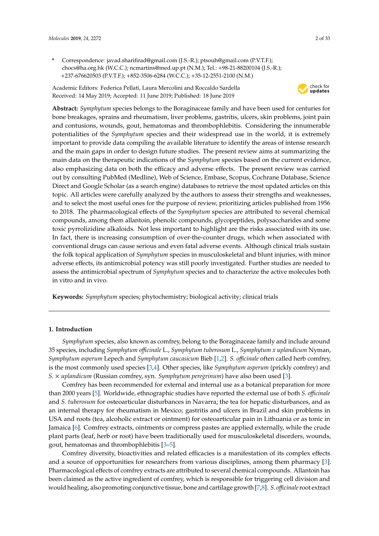**\*** Correspondence: javad.sharifirad@gmail.com (J.S.-R.); ptsouh@gmail.com (P.V.T.F.); chocs@ha.org.hk (W.C.C.); ncmartins@med.up.pt (N.M.); Tel.: +98-21-88200104 (J.S.-R.); +237-676620503 (P.V.T.F.); +852-3506-6284 (W.C.C.); +35-12-2551-2100 (N.M.)

Academic Editors: Federica Pellati, Laura Mercolini and Roccaldo Sardella Received: 14 May 2019; Accepted: 11 June 2019; Published: 18 June 2019



**Abstract:** *Symphytum* species belongs to the Boraginaceae family and have been used for centuries for bone breakages, sprains and rheumatism, liver problems, gastritis, ulcers, skin problems, joint pain and contusions, wounds, gout, hematomas and thrombophlebitis. Considering the innumerable potentialities of the *Symphytum* species and their widespread use in the world, it is extremely important to provide data compiling the available literature to identify the areas of intense research and the main gaps in order to design future studies. The present review aims at summarizing the main data on the therapeutic indications of the *Symphytum* species based on the current evidence, also emphasizing data on both the efficacy and adverse effects. The present review was carried out by consulting PubMed (Medline), Web of Science, Embase, Scopus, Cochrane Database, Science Direct and Google Scholar (as a search engine) databases to retrieve the most updated articles on this topic. All articles were carefully analyzed by the authors to assess their strengths and weaknesses, and to select the most useful ones for the purpose of review, prioritizing articles published from 1956 to 2018. The pharmacological effects of the *Symphytum* species are attributed to several chemical compounds, among them allantoin, phenolic compounds, glycopeptides, polysaccharides and some toxic pyrrolizidine alkaloids. Not less important to highlight are the risks associated with its use. In fact, there is increasing consumption of over-the-counter drugs, which when associated with conventional drugs can cause serious and even fatal adverse events. Although clinical trials sustain the folk topical application of *Symphytum* species in musculoskeletal and blunt injuries, with minor adverse effects, its antimicrobial potency was still poorly investigated. Further studies are needed to assess the antimicrobial spectrum of *Symphytum* species and to characterize the active molecules both in vitro and in vivo.

**Keywords:** *Symphytum* species; phytochemistry; biological activity; clinical trials

# **1. Introduction**

*Symphytum* species, also known as comfrey, belong to the Boraginaceae family and include around 35 species, including *Symphytum o*ffi*cinale* L., *Symphytum tuberosum* L., *Symphytum x uplandicum* Nyman, *Symphytum asperum* Lepech and *Symphytum caucasicum* Bieb [\[1,](#page-24-0)[2\]](#page-24-1). *S. o*ffi*cinale* often called herb comfrey, is the most commonly used species [\[3,](#page-24-2)[4\]](#page-24-3). Other species, like *Symphytum asperum* (prickly comfrey) and *S.* × *uplandicum* (Russian comfrey, syn. *Symphytum peregrinum*) have also been used [\[3\]](#page-24-2).

Comfrey has been recommended for external and internal use as a botanical preparation for more than 2000 years [\[5\]](#page-24-4). Worldwide, ethnographic studies have reported the external use of both *S. o*ffi*cinale* and *S. tuberosum* for osteoarticular disturbances in Navarra; the tea for hepatic disturbances, and as an internal therapy for rheumatism in Mexico; gastritis and ulcers in Brazil and skin problems in USA and roots (tea, alcoholic extract or ointment) for osteoarticular pain in Lithuania or as tonic in Jamaica [\[6\]](#page-24-5). Comfrey extracts, ointments or compress pastes are applied externally, while the crude plant parts (leaf, herb or root) have been traditionally used for musculoskeletal disorders, wounds, gout, hematomas and thrombophlebitis [\[3–](#page-24-2)[5\]](#page-24-4).

Comfrey diversity, bioactivities and related efficacies is a manifestation of its complex effects and a source of opportunities for researchers from various disciplines, among them pharmacy [\[3\]](#page-24-2). Pharmacological effects of comfrey extracts are attributed to several chemical compounds. Allantoin has been claimed as the active ingredient of comfrey, which is responsible for triggering cell division and would healing, also promoting conjunctive tissue, bone and cartilage growth [\[7,](#page-24-6)[8\]](#page-24-7). *S. o*ffi*cinale*root extract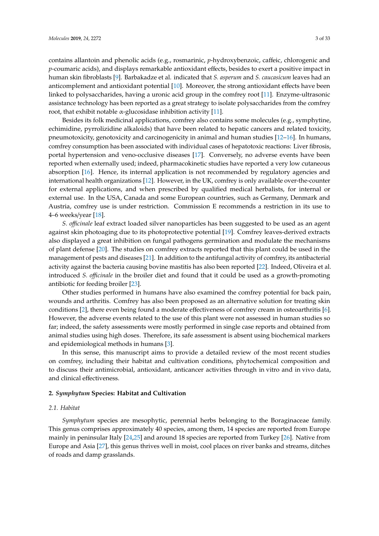contains allantoin and phenolic acids (e.g., rosmarinic, *p*-hydroxybenzoic, caffeic, chlorogenic and *p*-coumaric acids), and displays remarkable antioxidant effects, besides to exert a positive impact in human skin fibroblasts [\[9\]](#page-25-0). Barbakadze et al. indicated that *S. asperum* and *S. caucasicum* leaves had an anticomplement and antioxidant potential [\[10\]](#page-25-1). Moreover, the strong antioxidant effects have been linked to polysaccharides, having a uronic acid group in the comfrey root [\[11\]](#page-25-2). Enzyme-ultrasonic assistance technology has been reported as a great strategy to isolate polysaccharides from the comfrey root, that exhibit notable α-glucosidase inhibition activity [\[11\]](#page-25-2).

Besides its folk medicinal applications, comfrey also contains some molecules (e.g., symphytine, echimidine, pyrrolizidine alkaloids) that have been related to hepatic cancers and related toxicity, pneumotoxicity, genotoxicity and carcinogenicity in animal and human studies [\[12](#page-25-3)[–16\]](#page-25-4). In humans, comfrey consumption has been associated with individual cases of hepatotoxic reactions: Liver fibrosis, portal hypertension and veno-occlusive diseases [\[17\]](#page-25-5). Conversely, no adverse events have been reported when externally used; indeed, pharmacokinetic studies have reported a very low cutaneous absorption [\[16\]](#page-25-4). Hence, its internal application is not recommended by regulatory agencies and international health organizations [\[12\]](#page-25-3). However, in the UK, comfrey is only available over-the-counter for external applications, and when prescribed by qualified medical herbalists, for internal or external use. In the USA, Canada and some European countries, such as Germany, Denmark and Austria, comfrey use is under restriction. Commission E recommends a restriction in its use to 4–6 weeks/year [\[18\]](#page-25-6).

*S. o*ffi*cinale* leaf extract loaded silver nanoparticles has been suggested to be used as an agent against skin photoaging due to its photoprotective potential [\[19\]](#page-25-7). Comfrey leaves-derived extracts also displayed a great inhibition on fungal pathogens germination and modulate the mechanisms of plant defense [\[20\]](#page-25-8). The studies on comfrey extracts reported that this plant could be used in the management of pests and diseases [\[21\]](#page-25-9). In addition to the antifungal activity of comfrey, its antibacterial activity against the bacteria causing bovine mastitis has also been reported [\[22\]](#page-25-10). Indeed, Oliveira et al. introduced *S. o*ffi*cinale* in the broiler diet and found that it could be used as a growth-promoting antibiotic for feeding broiler [\[23\]](#page-25-11).

Other studies performed in humans have also examined the comfrey potential for back pain, wounds and arthritis. Comfrey has also been proposed as an alternative solution for treating skin conditions [\[2\]](#page-24-1), there even being found a moderate effectiveness of comfrey cream in osteoarthritis [\[6\]](#page-24-5). However, the adverse events related to the use of this plant were not assessed in human studies so far; indeed, the safety assessments were mostly performed in single case reports and obtained from animal studies using high doses. Therefore, its safe assessment is absent using biochemical markers and epidemiological methods in humans [\[3\]](#page-24-2).

In this sense, this manuscript aims to provide a detailed review of the most recent studies on comfrey, including their habitat and cultivation conditions, phytochemical composition and to discuss their antimicrobial, antioxidant, anticancer activities through in vitro and in vivo data, and clinical effectiveness.

# **2.** *Symphytum* **Species: Habitat and Cultivation**

# *2.1. Habitat*

*Symphytum* species are mesophytic, perennial herbs belonging to the Boraginaceae family. This genus comprises approximately 40 species, among them, 14 species are reported from Europe mainly in peninsular Italy [\[24](#page-25-12)[,25\]](#page-25-13) and around 18 species are reported from Turkey [\[26\]](#page-25-14). Native from Europe and Asia [\[27\]](#page-25-15), this genus thrives well in moist, cool places on river banks and streams, ditches of roads and damp grasslands.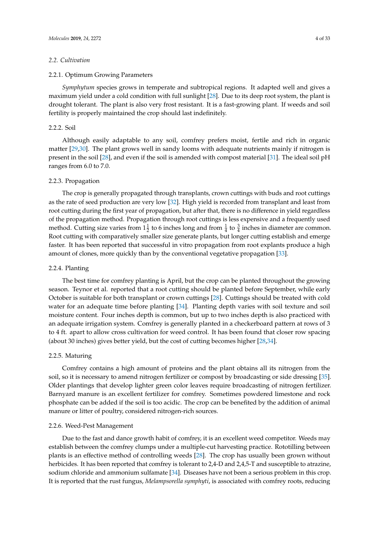# *2.2. Cultivation*

# 2.2.1. Optimum Growing Parameters

*Symphytum* species grows in temperate and subtropical regions. It adapted well and gives a maximum yield under a cold condition with full sunlight [\[28\]](#page-25-16). Due to its deep root system, the plant is drought tolerant. The plant is also very frost resistant. It is a fast-growing plant. If weeds and soil fertility is properly maintained the crop should last indefinitely.

# 2.2.2. Soil

Although easily adaptable to any soil, comfrey prefers moist, fertile and rich in organic matter [\[29,](#page-25-17)[30\]](#page-26-0). The plant grows well in sandy looms with adequate nutrients mainly if nitrogen is present in the soil [\[28\]](#page-25-16), and even if the soil is amended with compost material [\[31\]](#page-26-1). The ideal soil pH ranges from 6.0 to 7.0.

## 2.2.3. Propagation

The crop is generally propagated through transplants, crown cuttings with buds and root cuttings as the rate of seed production are very low [\[32\]](#page-26-2). High yield is recorded from transplant and least from root cutting during the first year of propagation, but after that, there is no difference in yield regardless of the propagation method. Propagation through root cuttings is less expensive and a frequently used method. Cutting size varies from  $1\frac{1}{2}$  to 6 inches long and from  $\frac{1}{4}$  to  $\frac{3}{4}$  inches in diameter are common. Root cutting with comparatively smaller size generate plants, but longer cutting establish and emerge faster. It has been reported that successful in vitro propagation from root explants produce a high amount of clones, more quickly than by the conventional vegetative propagation [\[33\]](#page-26-3).

# 2.2.4. Planting

The best time for comfrey planting is April, but the crop can be planted throughout the growing season. Teynor et al. reported that a root cutting should be planted before September, while early October is suitable for both transplant or crown cuttings [\[28\]](#page-25-16). Cuttings should be treated with cold water for an adequate time before planting [\[34\]](#page-26-4). Planting depth varies with soil texture and soil moisture content. Four inches depth is common, but up to two inches depth is also practiced with an adequate irrigation system. Comfrey is generally planted in a checkerboard pattern at rows of 3 to 4 ft. apart to allow cross cultivation for weed control. It has been found that closer row spacing (about 30 inches) gives better yield, but the cost of cutting becomes higher [\[28](#page-25-16)[,34\]](#page-26-4).

# 2.2.5. Maturing

Comfrey contains a high amount of proteins and the plant obtains all its nitrogen from the soil, so it is necessary to amend nitrogen fertilizer or compost by broadcasting or side dressing [\[35\]](#page-26-5). Older plantings that develop lighter green color leaves require broadcasting of nitrogen fertilizer. Barnyard manure is an excellent fertilizer for comfrey. Sometimes powdered limestone and rock phosphate can be added if the soil is too acidic. The crop can be benefited by the addition of animal manure or litter of poultry, considered nitrogen-rich sources.

#### 2.2.6. Weed-Pest Management

Due to the fast and dance growth habit of comfrey, it is an excellent weed competitor. Weeds may establish between the comfrey clumps under a multiple-cut harvesting practice. Rototilling between plants is an effective method of controlling weeds [\[28\]](#page-25-16). The crop has usually been grown without herbicides. It has been reported that comfrey is tolerant to 2,4-D and 2,4,5-T and susceptible to atrazine, sodium chloride and ammonium sulfamate [\[34\]](#page-26-4). Diseases have not been a serious problem in this crop. It is reported that the rust fungus, *Melampsorella symphyti*, is associated with comfrey roots, reducing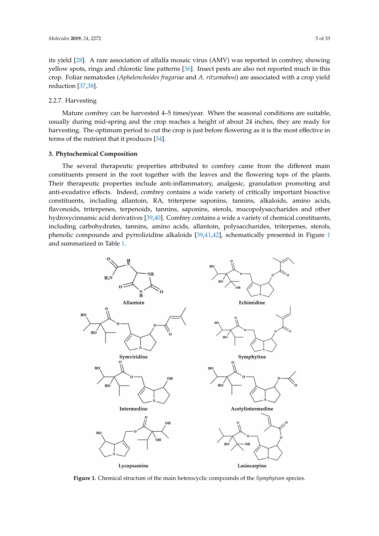its yield [\[28\]](#page-25-16). A rare association of alfalfa mosaic virus (AMV) was reported in comfrey, showing yellow spots, rings and chlorotic line patterns [\[36\]](#page-26-6). Insect pests are also not reported much in this crop. Foliar nematodes (*Aphelenchoides fragariae* and *A. ritzemabosi*) are associated with a crop yield reduction [\[37,](#page-26-7)[38\]](#page-26-8).

# 2.2.7. Harvesting

Mature comfrey can be harvested 4–5 times/year. When the seasonal conditions are suitable, usually during mid-spring and the crop reaches a height of about 24 inches, they are ready for harvesting. The optimum period to cut the crop is just before flowering as it is the most effective in terms of the nutrient that it produces [\[34\]](#page-26-4).

# **3. Phytochemical Composition**

The several therapeutic properties attributed to comfrey came from the different main constituents present in the root together with the leaves and the flowering tops of the plants. Their therapeutic properties include anti-inflammatory, analgesic, granulation promoting and anti-exudative effects. Indeed, comfrey contains a wide variety of critically important bioactive constituents, including allantoin, RA, triterpene saponins, tannins, alkaloids, amino acids, flavonoids, triterpenes, terpenoids, tannins, saponins, sterols, mucopolysaccharides and other hydroxycinnamic acid derivatives [\[39](#page-26-9)[,40\]](#page-26-10). Comfrey contains a wide a variety of chemical constituents, including carbohydrates, tannins, amino acids, allantoin, polysaccharides, triterpenes, sterols, phenolic compounds and pyrrolizidine alkaloids [\[39,](#page-26-9)[41,](#page-26-11)[42\]](#page-26-12), schematically presented in Figure [1](#page-4-0) and summarized in Table [1.](#page-5-0)

<span id="page-4-0"></span>

**Figure 1.** Chemical structure of the main heterocyclic compounds of the *Symphytum* species.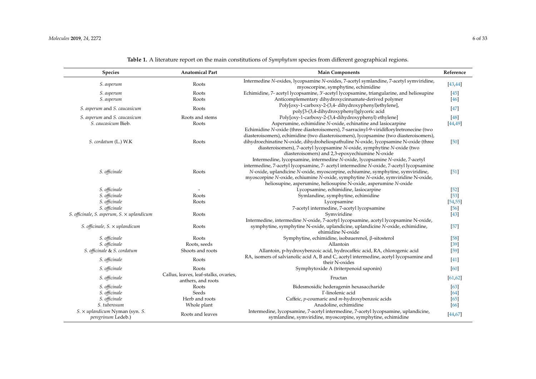<span id="page-5-0"></span>

| <b>Species</b>                                       | <b>Anatomical Part</b><br><b>Main Components</b>            |                                                                                                                                                    | Reference         |  |
|------------------------------------------------------|-------------------------------------------------------------|----------------------------------------------------------------------------------------------------------------------------------------------------|-------------------|--|
| S. asperum                                           | Roots                                                       | Intermedine N-oxides, lycopsamine N-oxides, 7-acetyl symlandine, 7-acetyl symviridine,<br>myoscorpine, symphytine, echimidine                      |                   |  |
| S. asperum                                           | Roots                                                       | Echimidine, 7- acetyl lycopsamine, 3'-acetyl lycopsamine, triangularine, and heliosupine                                                           |                   |  |
| S. asperum                                           | Roots                                                       | Anticomplementary dihydroxycinnamate-derived polymer                                                                                               | [46]              |  |
|                                                      |                                                             | Poly[oxy-1-carboxy-2-(3,4-dihydroxyphenyl)ethylene],                                                                                               |                   |  |
| S. asperum and S. caucasicum                         | Roots                                                       | poly[3-(3,4-dihydroxyphenyl)glyceric acid                                                                                                          | $[47]$            |  |
| S. asperum and S. caucasicum                         | Roots and stems                                             | Poly[oxy-1-carboxy-2-(3,4-dihydroxyphenyl) ethylene]                                                                                               | [48]              |  |
| S. caucasicum Bieb.                                  | Roots                                                       | Asperumine, echimidine N-oxide, echinatine and lasiocarpine                                                                                        | [44, 49]          |  |
|                                                      |                                                             | Echimidine N-oxide (three diasteroisomers), 7-sarracinyl-9-viridiflorylretronecine (two                                                            |                   |  |
|                                                      |                                                             | diasteroisomers), echimidine (two diasteroisomers), lycopsamine (two diasteroisomers),                                                             |                   |  |
| S. cordatum (L.) W.K                                 | Roots                                                       | dihydroechinatine N-oxide, dihydroheliospathuline N-oxide, lycopsamine N-oxide (three                                                              | [50]              |  |
|                                                      |                                                             | diasteroisomers), 7-acetyl lycopsamine N-oxide, symphytine N-oxide (two                                                                            |                   |  |
|                                                      |                                                             | diasteroisomers) and 2,3-epoxyechiumine N-oxide                                                                                                    |                   |  |
|                                                      |                                                             | Intermedine, lycopsamine, intermedine N-oxide, lycopsamine N-oxide, 7-acetyl                                                                       |                   |  |
|                                                      |                                                             | intermedine, 7-acetyl lycopsamine, 7- acetyl intermedine N-oxide, 7-acetyl lycopsamine                                                             |                   |  |
| S. officinale                                        | Roots                                                       | N-oxide, uplandicine N-oxide, myoscorpine, echiumine, symphytine, symviridine,                                                                     | $\left[51\right]$ |  |
|                                                      |                                                             | myoscorpine N-oxide, echiumine N-oxide, symphytine N-oxide, symviridine N-oxide,                                                                   |                   |  |
|                                                      |                                                             | heliosupine, asperumine, heliosupine N-oxide, asperumine N-oxide                                                                                   |                   |  |
| S. officinale                                        |                                                             | Lycopsamine, echimidine, lasiocarpine                                                                                                              | $[52]$            |  |
| S. officinale                                        | Roots                                                       | Symlandine, symphytine, echimidine                                                                                                                 | $[53]$            |  |
| S. officinale                                        | Roots                                                       | Lycopsamine                                                                                                                                        | [54, 55]          |  |
| S. officinale                                        |                                                             | 7-acetyl intermedine, 7-acetyl lycopsamine                                                                                                         | [56]              |  |
| S. officinale, S. asperum, S. × uplandicum           | Roots                                                       | Symviridine                                                                                                                                        | $[43]$            |  |
|                                                      |                                                             | Intermedine, intermedine N-oxide, 7-acetyl lycopsamine, acetyl lycopsamine N-oxide,                                                                |                   |  |
| S. officinale, $S. \times$ uplandicum                | Roots                                                       | symphytine, symphytine N-oxide, uplandicine, uplandicine N-oxide, echimidine,                                                                      | $[57]$            |  |
|                                                      |                                                             | ehimidine N-oxide                                                                                                                                  |                   |  |
| S. officinale                                        | Roots                                                       | Symphytine, echimidine, isobauerenol, β-sitosterol                                                                                                 | $[58]$            |  |
| S. officinale                                        | Roots, seeds                                                | Allantoin                                                                                                                                          | $[39]$            |  |
| S. officinale & S. cordatum                          | Shoots and roots                                            | Allantoin, p-hydroxybenzoic acid, hydrocaffeic acid, RA, chlorogenic acid                                                                          | $[59]$            |  |
|                                                      |                                                             | RA, isomers of salvianolic acid A, B and C, acetyl intermedine, acetyl lycopsamine and                                                             |                   |  |
| S. officinale                                        | Roots                                                       | their N-oxides                                                                                                                                     | $[41]$            |  |
| S. officinale                                        | Roots                                                       | Symphytoxide A (triterpenoid saponin)                                                                                                              | [60]              |  |
| S. officinale                                        | Callus, leaves, leaf-stalks, ovaries,<br>anthers, and roots | Fructan                                                                                                                                            | [61, 62]          |  |
| S. officinale                                        | Roots                                                       | Bidesmosidic hederagenin hexasaccharide                                                                                                            | [63]              |  |
| S. officinale                                        | Seeds                                                       | T-linolenic acid                                                                                                                                   | [64]              |  |
| S. officinale                                        | Herb and roots                                              | Caffeic, p-coumaric and m-hydroxybenzoic acids                                                                                                     | [65]              |  |
| S. tuberosum                                         | Whole plant                                                 | Anadoline, echimidine                                                                                                                              |                   |  |
| S. x uplandicum Nyman (syn. S.<br>peregrinum Ledeb.) | Roots and leaves                                            | Intermedine, lycopsamine, 7-acetyl intermedine, 7-acetyl lycopsamine, uplandicine,<br>symlandine, symviridine, myoscorpine, symphytine, echimidine | [66]<br>44,67     |  |

| Table 1. A literature report on the main constitutions of Symphytum species from different geographical regions. |
|------------------------------------------------------------------------------------------------------------------|
|------------------------------------------------------------------------------------------------------------------|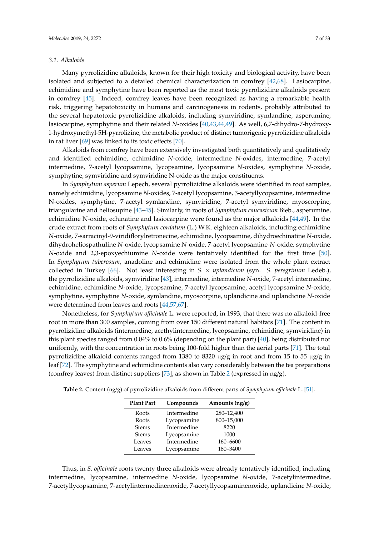# *3.1. Alkaloids*

Many pyrrolizidine alkaloids, known for their high toxicity and biological activity, have been isolated and subjected to a detailed chemical characterization in comfrey [\[42,](#page-26-12)[68\]](#page-27-15). Lasiocarpine, echimidine and symphytine have been reported as the most toxic pyrrolizidine alkaloids present in comfrey [\[45\]](#page-26-23). Indeed, comfrey leaves have been recognized as having a remarkable health risk, triggering hepatotoxicity in humans and carcinogenesis in rodents, probably attributed to the several hepatotoxic pyrrolizidine alkaloids, including symviridine, symlandine, asperumine, lasiocarpine, symphytine and their related *N*-oxides [\[40](#page-26-10)[,43](#page-26-24)[,44](#page-26-25)[,49\]](#page-26-26). As well, 6,7-dihydro-7-hydroxy-1-hydroxymethyl-5H-pyrrolizine, the metabolic product of distinct tumorigenic pyrrolizidine alkaloids in rat liver [\[69\]](#page-27-16) was linked to its toxic effects [\[70\]](#page-27-17).

Alkaloids from comfrey have been extensively investigated both quantitatively and qualitatively and identified echimidine, echimidine *N*-oxide, intermedine *N*-oxides, intermedine, 7-acetyl intermedine, 7-acetyl lycopsamine, lycopsamine, lycopsamine *N*-oxides, symphytine *N*-oxide, symphytine, symviridine and symviridine N-oxide as the major constituents.

In *Symphytum asperum* Lepech, several pyrrolizidine alkaloids were identified in root samples, namely echimidine, lycopsamine *N*-oxides, 7-acetyl lycopsamine, 3-acetyllycopsamine, intermedine N-oxides, symphytine, 7-acetyl symlandine, symviridine, 7-acetyl symviridine, myoscorpine, triangularine and heliosupine [\[43–](#page-26-24)[45\]](#page-26-23). Similarly, in roots of *Symphytum caucasicum* Bieb., asperumine, echimidine N-oxide, echinatine and lasiocarpine were found as the major alkaloids [\[44,](#page-26-25)[49\]](#page-26-26). In the crude extract from roots of *Symphytum cordatum* (L.) W.K. eighteen alkaloids, including echimidine *N*-oxide, 7-sarracinyl-9-viridiflorylretronecine, echimidine, lycopsamine, dihydroechinatine *N*-oxide, dihydroheliospathuline *N*-oxide, lycopsamine *N*-oxide, 7-acetyl lycopsamine-*N*-oxide, symphytine *N*-oxide and 2,3-epoxyechiumine *N*-oxide were tentatively identified for the first time [\[50\]](#page-26-27). In *Symphytum tuberosum*, anadoline and echimidine were isolated from the whole plant extract collected in Turkey [\[66\]](#page-27-18). Not least interesting in *S.* × *uplandicum* (syn. *S. peregrinum* Ledeb.), the pyrrolizidine alkaloids, symviridine [\[43\]](#page-26-24), intermedine, intermedine *N*-oxide, 7-acetyl intermedine, echimidine, echimidine *N*-oxide, lycopsamine, 7-acetyl lycopsamine, acetyl lycopsamine *N*-oxide, symphytine, symphytine *N*-oxide, symlandine, myoscorpine, uplandicine and uplandicine *N*-oxide were determined from leaves and roots [\[44,](#page-26-25)[57,](#page-27-19)[67\]](#page-27-20).

Nonetheless, for *Symphytum o*ffi*cinale* L. were reported, in 1993, that there was no alkaloid-free root in more than 300 samples, coming from over 150 different natural habitats [\[71\]](#page-27-21). The content in pyrrolizidine alkaloids (intermedine, acethylintermedine, lycopsamine, echimidine, symviridine) in this plant species ranged from 0.04% to 0.6% (depending on the plant part) [\[40\]](#page-26-10), being distributed not uniformly, with the concentration in roots being 100-fold higher than the aerial parts [\[71\]](#page-27-21). The total pyrrolizidine alkaloid contents ranged from 1380 to 8320  $\mu$ g/g in root and from 15 to 55  $\mu$ g/g in leaf [\[72\]](#page-27-22). The symphytine and echimidine contents also vary considerably between the tea preparations (comfrey leaves) from distinct suppliers [\[73\]](#page-27-23), as shown in Table [2](#page-6-0) (expressed in ng/g).

<span id="page-6-0"></span>

| <b>Table 2.</b> Content (ng/g) of pyrrolizidine alkaloids from different parts of <i>Symphytum officinale</i> L. [51]. |  |  |  |
|------------------------------------------------------------------------------------------------------------------------|--|--|--|
|------------------------------------------------------------------------------------------------------------------------|--|--|--|

| <b>Plant Part</b> | Compounds   | Amounts (ng/g) |
|-------------------|-------------|----------------|
| Roots             | Intermedine | 280-12,400     |
| Roots             | Lycopsamine | 800-15,000     |
| <b>Stems</b>      | Intermedine | 8220           |
| <b>Stems</b>      | Lycopsamine | 1000           |
| Leaves            | Intermedine | 160-6600       |
| Leaves            | Lycopsamine | 180-3400       |

Thus, in *S. o*ffi*cinale* roots twenty three alkaloids were already tentatively identified, including intermedine, lycopsamine, intermedine *N*-oxide, lycopsamine *N*-oxide, 7-acetylintermedine, 7-acetyllycopsamine, 7-acetylintermedinenoxide, 7-acetyllycopsaminenoxide, uplandicine *N*-oxide,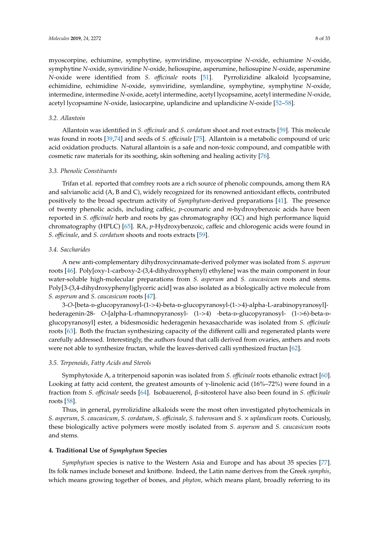myoscorpine, echiumine, symphytine, symviridine, myoscorpine *N*-oxide, echiumine *N*-oxide, symphytine *N*-oxide, symviridine *N*-oxide, heliosupine, asperumine, heliosupine *N*-oxide, asperumine *N*-oxide were identified from *S. o*ffi*cinale* roots [\[51\]](#page-26-28). Pyrrolizidine alkaloid lycopsamine, echimidine, echimidine *N*-oxide, symviridine, symlandine, symphytine, symphytine *N*-oxide, intermedine, intermedine *N*-oxide, acetyl intermedine, acetyl lycopsamine, acetyl intermedine *N*-oxide, acetyl lycopsamine *N*-oxide, lasiocarpine, uplandicine and uplandicine *N*-oxide [\[52–](#page-26-29)[58\]](#page-27-24).

# *3.2. Allantoin*

Allantoin was identified in *S. o*ffi*cinale* and *S. cordatum* shoot and root extracts [\[59\]](#page-27-25). This molecule was found in roots [\[39](#page-26-9)[,74\]](#page-27-26) and seeds of *S. o*ffi*cinale* [\[75\]](#page-27-27). Allantoin is a metabolic compound of uric acid oxidation products. Natural allantoin is a safe and non-toxic compound, and compatible with cosmetic raw materials for its soothing, skin softening and healing activity [\[76\]](#page-28-0).

## *3.3. Phenolic Constituents*

Trifan et al. reported that comfrey roots are a rich source of phenolic compounds, among them RA and salvianolic acid (A, B and C), widely recognized for its renowned antioxidant effects, contributed positively to the broad spectrum activity of *Symphytum*-derived preparations [\[41\]](#page-26-11). The presence of twenty phenolic acids, including caffeic, *p*-coumaric and *m*-hydroxybenzoic acids have been reported in *S. o*ffi*cinale* herb and roots by gas chromatography (GC) and high performance liquid chromatography (HPLC) [\[65\]](#page-27-28). RA, *p*-Hydroxybenzoic, caffeic and chlorogenic acids were found in *S. o*ffi*cinale*, and *S. cordatum* shoots and roots extracts [\[59\]](#page-27-25).

## *3.4. Saccharides*

A new anti-complementary dihydroxycinnamate-derived polymer was isolated from *S. asperum* roots [\[46\]](#page-26-30). Poly[oxy-1-carboxy-2-(3,4-dihydroxyphenyl) ethylene] was the main component in four water-soluble high-molecular preparations from *S. asperum* and *S. caucasicum* roots and stems. Poly[3-(3,4-dihydroxyphenyl)glyceric acid] was also isolated as a biologically active molecule from *S. asperum* and *S. caucasicum* roots [\[47\]](#page-26-31).

3-O-[beta-p-glucopyranosyl-(1->4)-beta-p-glucopyranosyl-(1->4)-alpha-L-arabinopyranosyl]hederagenin-28- O-[alpha-L-rhamnopyranosyl-  $(1->4)$  -beta-p-glucopyranosyl-  $(1->6)$ -beta-pglucopyranosyl] ester, a bidesmosidic hederagenin hexasaccharide was isolated from *S. o*ffi*cinale* roots [\[63\]](#page-27-29). Both the fructan synthesizing capacity of the different calli and regenerated plants were carefully addressed. Interestingly, the authors found that calli derived from ovaries, anthers and roots were not able to synthesize fructan, while the leaves-derived calli synthesized fructan [\[62\]](#page-27-30).

# *3.5. Terpenoids, Fatty Acids and Sterols*

Symphytoxide A, a triterpenoid saponin was isolated from *S. o*ffi*cinale* roots ethanolic extract [\[60\]](#page-27-31). Looking at fatty acid content, the greatest amounts of  $γ$ -linolenic acid (16%–72%) were found in a fraction from *S. o*ffi*cinale* seeds [\[64\]](#page-27-32). Isobauerenol, β-sitosterol have also been found in *S. o*ffi*cinale* roots [\[58\]](#page-27-24).

Thus, in general, pyrrolizidine alkaloids were the most often investigated phytochemicals in *S. asperum*, *S. caucasicum*, *S. cordatum*, *S. o*ffi*cinale*, *S. tuberosum* and *S.* × *uplandicum* roots. Curiously, these biologically active polymers were mostly isolated from *S. asperum* and *S. caucasicum* roots and stems.

## **4. Traditional Use of** *Symphytum* **Species**

*Symphytum* species is native to the Western Asia and Europe and has about 35 species [\[77\]](#page-28-1). Its folk names include boneset and knitbone. Indeed, the Latin name derives from the Greek *symphis*, which means growing together of bones, and *phyton*, which means plant, broadly referring to its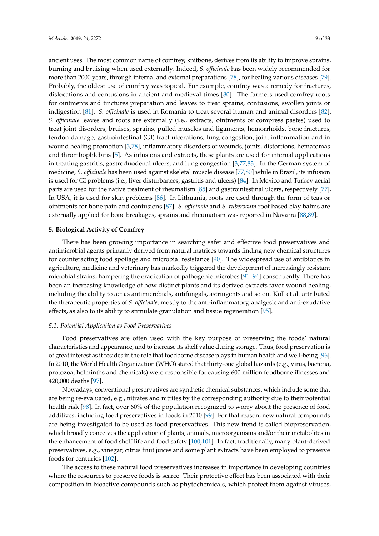ancient uses. The most common name of comfrey, knitbone, derives from its ability to improve sprains, burning and bruising when used externally. Indeed, *S. o*ffi*cinale* has been widely recommended for more than 2000 years, through internal and external preparations [\[78\]](#page-28-2), for healing various diseases [\[79\]](#page-28-3). Probably, the oldest use of comfrey was topical. For example, comfrey was a remedy for fractures, dislocations and contusions in ancient and medieval times [\[80\]](#page-28-4). The farmers used comfrey roots for ointments and tinctures preparation and leaves to treat sprains, contusions, swollen joints or indigestion [\[81\]](#page-28-5). *S. o*ffi*cinale* is used in Romania to treat several human and animal disorders [\[82\]](#page-28-6). *S. o*ffi*cinale* leaves and roots are externally (i.e., extracts, ointments or compress pastes) used to treat joint disorders, bruises, sprains, pulled muscles and ligaments, hemorrhoids, bone fractures, tendon damage, gastrointestinal (GI) tract ulcerations, lung congestion, joint inflammation and in wound healing promotion [\[3,](#page-24-2)[78\]](#page-28-2), inflammatory disorders of wounds, joints, distortions, hematomas and thrombophlebitis [\[5\]](#page-24-4). As infusions and extracts, these plants are used for internal applications in treating gastritis, gastroduodenal ulcers, and lung congestion [\[3,](#page-24-2)[77](#page-28-1)[,83\]](#page-28-7). In the German system of medicine, *S. o*ffi*cinale* has been used against skeletal muscle disease [\[77](#page-28-1)[,80\]](#page-28-4) while in Brazil, its infusion is used for GI problems (i.e., liver disturbances, gastritis and ulcers) [\[84\]](#page-28-8). In Mexico and Turkey aerial parts are used for the native treatment of rheumatism [\[85\]](#page-28-9) and gastrointestinal ulcers, respectively [\[77\]](#page-28-1). In USA, it is used for skin problems [\[86\]](#page-28-10). In Lithuania, roots are used through the form of teas or ointments for bone pain and contusions [\[87\]](#page-28-11). *S. o*ffi*cinale* and *S. tuberosum* root based clay balms are externally applied for bone breakages, sprains and rheumatism was reported in Navarra [\[88,](#page-28-12)[89\]](#page-28-13).

#### **5. Biological Activity of Comfrey**

There has been growing importance in searching safer and effective food preservatives and antimicrobial agents primarily derived from natural matrices towards finding new chemical structures for counteracting food spoilage and microbial resistance [\[90\]](#page-28-14). The widespread use of antibiotics in agriculture, medicine and veterinary has markedly triggered the development of increasingly resistant microbial strains, hampering the eradication of pathogenic microbes [\[91](#page-28-15)[–94\]](#page-28-16) consequently. There has been an increasing knowledge of how distinct plants and its derived extracts favor wound healing, including the ability to act as antimicrobials, antifungals, astringents and so on. Koll et al. attributed the therapeutic properties of *S. o*ffi*cinale*, mostly to the anti-inflammatory, analgesic and anti-exudative effects, as also to its ability to stimulate granulation and tissue regeneration [\[95\]](#page-28-17).

# *5.1. Potential Application as Food Preservatives*

Food preservatives are often used with the key purpose of preserving the foods' natural characteristics and appearance, and to increase its shelf value during storage. Thus, food preservation is of great interest as it resides in the role that foodborne disease plays in human health and well-being [\[96\]](#page-28-18). In 2010, the World Health Organization (WHO) stated that thirty-one global hazards (e.g., virus, bacteria, protozoa, helminths and chemicals) were responsible for causing 600 million foodborne illnesses and 420,000 deaths [\[97\]](#page-29-0).

Nowadays, conventional preservatives are synthetic chemical substances, which include some that are being re-evaluated, e.g., nitrates and nitrites by the corresponding authority due to their potential health risk [\[98\]](#page-29-1). In fact, over 60% of the population recognized to worry about the presence of food additives, including food preservatives in foods in 2010 [\[99\]](#page-29-2). For that reason, new natural compounds are being investigated to be used as food preservatives. This new trend is called biopreservation, which broadly conceives the application of plants, animals, microorganisms and/or their metabolites in the enhancement of food shelf life and food safety [\[100](#page-29-3)[,101\]](#page-29-4). In fact, traditionally, many plant-derived preservatives, e.g., vinegar, citrus fruit juices and some plant extracts have been employed to preserve foods for centuries [\[102\]](#page-29-5).

The access to these natural food preservatives increases in importance in developing countries where the resources to preserve foods is scarce. Their protective effect has been associated with their composition in bioactive compounds such as phytochemicals, which protect them against viruses,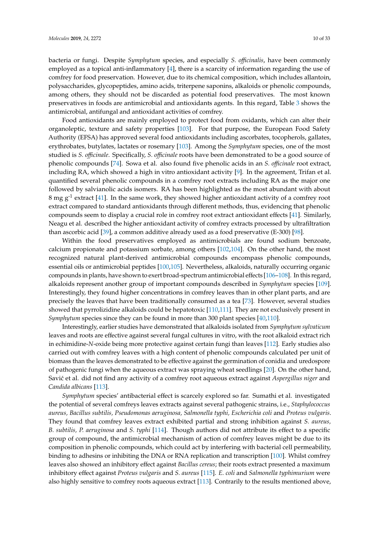bacteria or fungi. Despite *Symphytum* species, and especially *S. o*ffi*cinalis*, have been commonly employed as a topical anti-inflammatory  $[4]$ , there is a scarcity of information regarding the use of comfrey for food preservation. However, due to its chemical composition, which includes allantoin, polysaccharides, glycopeptides, amino acids, triterpene saponins, alkaloids or phenolic compounds, among others, they should not be discarded as potential food preservatives. The most known preservatives in foods are antimicrobial and antioxidants agents. In this regard, Table [3](#page-10-0) shows the antimicrobial, antifungal and antioxidant activities of comfrey.

Food antioxidants are mainly employed to protect food from oxidants, which can alter their organoleptic, texture and safety properties [\[103\]](#page-29-6). For that purpose, the European Food Safety Authority (EFSA) has approved several food antioxidants including ascorbates, tocopherols, gallates, erythrobates, butylates, lactates or rosemary [\[103\]](#page-29-6). Among the *Symphytum* species, one of the most studied is *S. o*ffi*cinale*. Specifically, *S. o*ffi*cinale* roots have been demonstrated to be a good source of phenolic compounds [\[74\]](#page-27-26). Sowa et al. also found five phenolic acids in an *S. o*ffi*cinale* root extract, including RA, which showed a high in vitro antioxidant activity [\[9\]](#page-25-0). In the agreement, Trifan et al. quantified several phenolic compounds in a comfrey root extracts including RA as the major one followed by salvianolic acids isomers. RA has been highlighted as the most abundant with about 8 mg  $g^{-1}$  extract [\[41\]](#page-26-11). In the same work, they showed higher antioxidant activity of a comfrey root extract compared to standard antioxidants through different methods, thus, evidencing that phenolic compounds seem to display a crucial role in comfrey root extract antioxidant effects [\[41\]](#page-26-11). Similarly, Neagu et al. described the higher antioxidant activity of comfrey extracts processed by ultrafiltration than ascorbic acid [\[39\]](#page-26-9), a common additive already used as a food preservative (E-300) [\[98\]](#page-29-1).

Within the food preservatives employed as antimicrobials are found sodium benzoate, calcium propionate and potassium sorbate, among others [\[102,](#page-29-5)[104\]](#page-29-7). On the other hand, the most recognized natural plant-derived antimicrobial compounds encompass phenolic compounds, essential oils or antimicrobial peptides [\[100,](#page-29-3)[105\]](#page-29-8). Nevertheless, alkaloids, naturally occurring organic compounds in plants, have shown to exert broad-spectrum antimicrobial effects [\[106–](#page-29-9)[108\]](#page-29-10). In this regard, alkaloids represent another group of important compounds described in *Symphytum* species [\[109\]](#page-29-11). Interestingly, they found higher concentrations in comfrey leaves than in other plant parts, and are precisely the leaves that have been traditionally consumed as a tea [\[73\]](#page-27-23). However, several studies showed that pyrrolizidine alkaloids could be hepatotoxic [\[110,](#page-29-12)[111\]](#page-29-13). They are not exclusively present in *Symphytum* species since they can be found in more than 300 plant species [\[40,](#page-26-10)[110\]](#page-29-12).

Interestingly, earlier studies have demonstrated that alkaloids isolated from *Symphytum sylvaticum* leaves and roots are effective against several fungal cultures in vitro, with the root alkaloid extract rich in echimidine-*N*-oxide being more protective against certain fungi than leaves [\[112\]](#page-29-14). Early studies also carried out with comfrey leaves with a high content of phenolic compounds calculated per unit of biomass than the leaves demonstrated to be effective against the germination of conidia and uredospore of pathogenic fungi when the aqueous extract was spraying wheat seedlings [\[20\]](#page-25-8). On the other hand, Savić et al. did not find any activity of a comfrey root aqueous extract against *Aspergillus niger* and *Candida albicans* [\[113\]](#page-29-15).

*Symphytum* species' antibacterial effect is scarcely explored so far. Sumathi et al. investigated the potential of several comfreys leaves extracts against several pathogenic strains, i.e., *Staphylococcus aureus, Bacillus subtilis, Pseudomonas aeruginosa, Salmonella typhi, Escherichia coli* and *Proteus vulgaris*. They found that comfrey leaves extract exhibited partial and strong inhibition against *S. aureus, B. subtilis, P. aeruginosa* and *S. typhi* [\[114\]](#page-29-16). Though authors did not attribute its effect to a specific group of compound, the antimicrobial mechanism of action of comfrey leaves might be due to its composition in phenolic compounds, which could act by interfering with bacterial cell permeability, binding to adhesins or inhibiting the DNA or RNA replication and transcription [\[100\]](#page-29-3). Whilst comfrey leaves also showed an inhibitory effect against *Bacillus cereus*; their roots extract presented a maximum inhibitory effect against *Proteus vulgaris* and *S. aureus* [\[115\]](#page-29-17). *E. coli* and *Salmonella typhimurium* were also highly sensitive to comfrey roots aqueous extract [\[113\]](#page-29-15). Contrarily to the results mentioned above,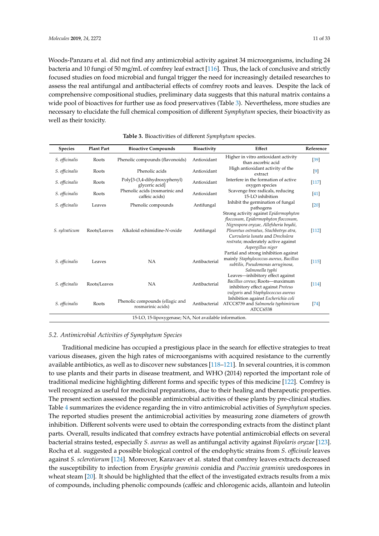Woods-Panzaru et al. did not find any antimicrobial activity against 34 microorganisms, including 24 bacteria and 10 fungi of 50 mg/mL of comfrey leaf extract [\[116\]](#page-29-18). Thus, the lack of conclusive and strictly focused studies on food microbial and fungal trigger the need for increasingly detailed researches to assess the real antifungal and antibacterial effects of comfrey roots and leaves. Despite the lack of comprehensive compositional studies, preliminary data suggests that this natural matrix contains a wide pool of bioactives for further use as food preservatives (Table [3\)](#page-10-0). Nevertheless, more studies are necessary to elucidate the full chemical composition of different *Symphytum* species, their bioactivity as well as their toxicity.

<span id="page-10-0"></span>

| <b>Species</b> | <b>Plant Part</b> | <b>Bioactive Compounds</b>                             | Bioactivity   | Effect                                                                                                                                                                                                                                                             | Reference        |
|----------------|-------------------|--------------------------------------------------------|---------------|--------------------------------------------------------------------------------------------------------------------------------------------------------------------------------------------------------------------------------------------------------------------|------------------|
| S. officinalis | Roots             | Phenolic compounds (flavonoids)                        | Antioxidant   | Higher in vitro antioxidant activity<br>than ascorbic acid                                                                                                                                                                                                         | $[39]$           |
| S. officinalis | Roots             | Phenolic acids                                         | Antioxidant   | High antioxidant activity of the<br>extract                                                                                                                                                                                                                        | $\left[9\right]$ |
| S. officinalis | Roots             | Poly[3-(3,4-dihydroxyphenyl)<br>glyceric acid]         | Antioxidant   | Interfere in the formation of active<br>oxygen species                                                                                                                                                                                                             | $[117]$          |
| S. officinalis | Roots             | Phenolic acids (rosmarinic and<br>caffeic acids)       | Antioxidant   | Scavenge free radicals, reducing<br>15-LO inhibition                                                                                                                                                                                                               | [41]             |
| S. officinalis | Leaves            | Phenolic compounds                                     | Antifungal    | Inhibit the germination of fungal<br>pathogens                                                                                                                                                                                                                     | [20]             |
| S. sylvaticum  | Roots/Leaves      | Alkaloid echimidine-N-oxide                            | Antifungal    | Strong activity against Epidermophyton<br>floccosum, Epidermophyton floccosum,<br>Nigrospora oryzae, Allefsheria boydii,<br>Pleuretus ostreatus, Stachbotrys atra,<br>Curvularia lunata and Drechslera<br>rostrata; moderately active against<br>Aspergillus niger | [112]            |
| S. officinalis | Leaves            | NA                                                     | Antibacterial | Partial and strong inhibition against<br>mainly Staphylococcus aureus, Bacillus<br>subtilis, Pseudomonas aeruginosa,<br>Salmonella typhi                                                                                                                           | $[115]$          |
| S. officinalis | Roots/Leaves      | NA                                                     | Antibacterial | Leaves-inhibitory effect against<br>Bacillus cereus; Roots-maximum<br>inhibitory effect against Proteus<br>vulgaris and Staphylococcus aureus                                                                                                                      | $[114]$          |
| S. officinalis | Roots             | Phenolic compounds (ellagic and<br>rosmarinic acids)   | Antibacterial | Inhibition against Escherichia coli<br>ATCC8739 and Salmonela typhimirium<br>ATCC6538                                                                                                                                                                              | [74]             |
|                |                   | 15-LO, 15-lipoxygenase; NA, Not available information. |               |                                                                                                                                                                                                                                                                    |                  |

#### **Table 3.** Bioactivities of different *Symphytum* species.

# *5.2. Antimicrobial Activities of Symphytum Species*

Traditional medicine has occupied a prestigious place in the search for effective strategies to treat various diseases, given the high rates of microorganisms with acquired resistance to the currently available antibiotics, as well as to discover new substances [\[118](#page-29-20)[–121\]](#page-30-0). In several countries, it is common to use plants and their parts in disease treatment, and WHO (2014) reported the important role of traditional medicine highlighting different forms and specific types of this medicine [\[122\]](#page-30-1). Comfrey is well recognized as useful for medicinal preparations, due to their healing and therapeutic properties. The present section assessed the possible antimicrobial activities of these plants by pre-clinical studies. Table [4](#page-11-0) summarizes the evidence regarding the in vitro antimicrobial activities of *Symphytum* species. The reported studies present the antimicrobial activities by measuring zone diameters of growth inhibition. Different solvents were used to obtain the corresponding extracts from the distinct plant parts. Overall, results indicated that comfrey extracts have potential antimicrobial effects on several bacterial strains tested, especially *S. aureus* as well as antifungal activity against *Bipolaris oryzae* [\[123\]](#page-30-2). Rocha et al. suggested a possible biological control of the endophytic strains from *S. o*ffi*cinale* leaves against *S. sclerotiorum* [\[124\]](#page-30-3). Moreover, Karavaev et al. stated that comfrey leaves extracts decreased the susceptibility to infection from *Erysiphe graminis* conidia and *Puccinia graminis* uredospores in wheat steam [\[20\]](#page-25-8). It should be highlighted that the effect of the investigated extracts results from a mix of compounds, including phenolic compounds (caffeic and chlorogenic acids, allantoin and luteolin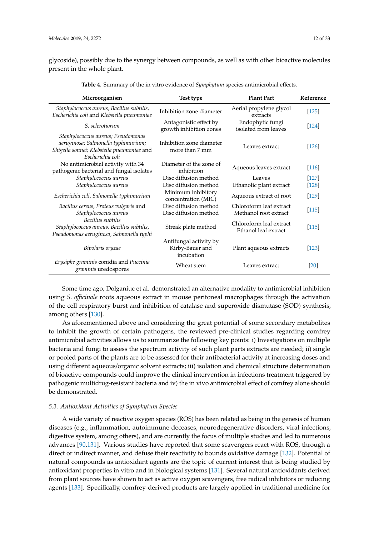glycoside), possibly due to the synergy between compounds, as well as with other bioactive molecules present in the whole plant.

<span id="page-11-0"></span>

| Microorganism                                                                                                                               | Test type                                               | <b>Plant Part</b>                                | Reference         |
|---------------------------------------------------------------------------------------------------------------------------------------------|---------------------------------------------------------|--------------------------------------------------|-------------------|
| Staphylococcus aureus, Bacillus subtilis,<br>Escherichia coli and Klebsiella pneumoniae                                                     | Inhibition zone diameter                                | Aerial propylene glycol<br>extracts              | $[125]$           |
| S. sclerotiorum                                                                                                                             | Antagonistic effect by<br>growth inhibition zones       | Endophytic fungi<br>isolated from leaves         | $[124]$           |
| Staphylococcus aureus; Pseudomonas<br>aeruginosa; Salmonella typhimurium;<br>Shigella sonnei; Klebsiella pneumoniae and<br>Escherichia coli | Inhibition zone diameter<br>more than 7 mm              | Leaves extract                                   | $[126]$           |
| No antimicrobial activity with 34<br>pathogenic bacterial and fungal isolates                                                               | Diameter of the zone of<br>inhibition                   | Aqueous leaves extract                           | $[116]$           |
| Staphylococcus aureus                                                                                                                       | Disc diffusion method                                   | Leaves                                           | $[127]$           |
| Staphylococcus aureus                                                                                                                       | Disc diffusion method                                   | Ethanolic plant extract                          | $[128]$           |
| Escherichia coli, Salmonella typhimurium                                                                                                    | Minimum inhibitory<br>concentration (MIC)               | Aqueous extract of root                          | $[129]$           |
| Bacillus cereus, Proteus vulgaris and<br>Staphylococcus aureus                                                                              | Disc diffusion method<br>Disc diffusion method          | Chloroform leaf extract<br>Methanol root extract | $[115]$           |
| Bacillus subtilis<br>Staphylococcus aureus, Bacillus subtilis,<br>Pseudomonas aeruginosa, Salmonella typhi                                  | Streak plate method                                     | Chloroform leaf extract<br>Ethanol leaf extract  | $[115]$           |
| Bipolaris oryzae                                                                                                                            | Antifungal activity by<br>Kirby-Bauer and<br>incubation | Plant aqueous extracts                           | $[123]$           |
| Erysiphe graminis conidia and Puccinia<br>graminis uredospores                                                                              | Wheat stem                                              | Leaves extract                                   | $\left[20\right]$ |

**Table 4.** Summary of the in vitro evidence of *Symphytum* species antimicrobial effects.

Some time ago, Dolganiuc et al. demonstrated an alternative modality to antimicrobial inhibition using *S. o*ffi*cinale* roots aqueous extract in mouse peritoneal macrophages through the activation of the cell respiratory burst and inhibition of catalase and superoxide dismutase (SOD) synthesis, among others [\[130\]](#page-30-9).

As aforementioned above and considering the great potential of some secondary metabolites to inhibit the growth of certain pathogens, the reviewed pre-clinical studies regarding comfrey antimicrobial activities allows us to summarize the following key points: i) Investigations on multiple bacteria and fungi to assess the spectrum activity of such plant parts extracts are needed; ii) single or pooled parts of the plants are to be assessed for their antibacterial activity at increasing doses and using different aqueous/organic solvent extracts; iii) isolation and chemical structure determination of bioactive compounds could improve the clinical intervention in infections treatment triggered by pathogenic multidrug-resistant bacteria and iv) the in vivo antimicrobial effect of comfrey alone should be demonstrated.

# *5.3. Antioxidant Activities of Symphytum Species*

A wide variety of reactive oxygen species (ROS) has been related as being in the genesis of human diseases (e.g., inflammation, autoimmune deceases, neurodegenerative disorders, viral infections, digestive system, among others), and are currently the focus of multiple studies and led to numerous advances [\[90,](#page-28-14)[131\]](#page-30-10). Various studies have reported that some scavengers react with ROS, through a direct or indirect manner, and defuse their reactivity to bounds oxidative damage [\[132\]](#page-30-11). Potential of natural compounds as antioxidant agents are the topic of current interest that is being studied by antioxidant properties in vitro and in biological systems [\[131\]](#page-30-10). Several natural antioxidants derived from plant sources have shown to act as active oxygen scavengers, free radical inhibitors or reducing agents [\[133\]](#page-30-12). Specifically, comfrey-derived products are largely applied in traditional medicine for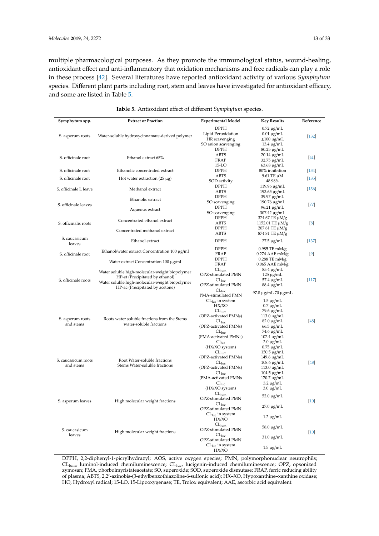<span id="page-12-0"></span>and some are listed in Table [5.](#page-12-0)

multiple pharmacological purposes. As they promote the immunological status, wound-healing, antioxidant effect and anti-inflammatory that oxidation mechanisms and free radicals can play a role in these process [\[42\]](#page-26-12). Several literatures have reported antioxidant activity of various *Symphytum*

| Symphytum spp.                | <b>Extract or Fraction</b>                                                        | <b>Experimental Model</b>                 | <b>Key Results</b>                   | Reference         |
|-------------------------------|-----------------------------------------------------------------------------------|-------------------------------------------|--------------------------------------|-------------------|
|                               |                                                                                   | <b>DPPH</b>                               | $0.72 \mu g/mL$                      |                   |
| S. asperum roots              |                                                                                   | Lipid Peroxidation                        | $0.01 \mu g/mL$                      |                   |
|                               | Water-soluble hydroxycinnamate-derived polymer                                    | HR scavenging                             | $\geq$ 100 μg/mL                     | $[132]$           |
|                               |                                                                                   | SO anion scavenging                       | $13.4 \mu g/mL$                      |                   |
|                               |                                                                                   | <b>DPPH</b>                               | $80.25 \mu g/mL$                     |                   |
|                               |                                                                                   | <b>ABTS</b>                               | $20.14 \mu g/mL$                     |                   |
| S. officinale root            | Ethanol extract 65%                                                               | <b>FRAP</b>                               | $32.75 \mu g/mL$                     | $[41]$            |
|                               |                                                                                   | 15-LO                                     | $63.68 \mu g/mL$                     |                   |
| S. officinale root            | Ethanolic concentrated extract                                                    | <b>DPPH</b>                               | 80% inhibition                       | $[134]$           |
| S. officinale root            |                                                                                   | <b>ABTS</b>                               | 9.61 TE μM                           |                   |
|                               | Hot water extraction $(25 \mu g)$                                                 | SOD activity                              | 48.98%                               | $[135]$           |
| S. officinale L leave         | Methanol extract                                                                  | <b>DPPH</b>                               | 119.96 μg/mL                         | $[136]$           |
|                               |                                                                                   | ABTS                                      | 193.65 μg/mL                         |                   |
|                               | Ethanolic extract                                                                 | <b>DPPH</b>                               | 39.97 μg/mL                          |                   |
| S. officinale leaves          |                                                                                   | SO scavenging                             | 190.76 μg/mL                         | $[77]$            |
|                               | Aqueous extract                                                                   | <b>DPPH</b>                               | $96.21 \mu g/mL$                     |                   |
|                               |                                                                                   | SO scavenging                             | 307.42 μg/mL                         |                   |
|                               | Concentrated ethanol extract                                                      | <b>DPPH</b>                               | 374.67 TE µM/g                       |                   |
| S. officinalis roots          |                                                                                   | ABTS                                      | 1152.01 TE μM/g                      | $\lceil 8 \rceil$ |
|                               | Concentrated methanol extract                                                     | <b>DPPH</b>                               | 207.81 TE μM/g                       |                   |
| S. caucasicum                 |                                                                                   | <b>ABTS</b>                               | 874.81 TE μM/g                       |                   |
| leaves                        | Ethanol extract                                                                   | <b>DPPH</b>                               | $27.5 \mu g/mL$                      | $[137]$           |
|                               |                                                                                   | <b>DPPH</b>                               | $0.985$ TE mM/g                      |                   |
| S. officinale root            | Ethanol/water extract Concentration 100 μg/ml                                     | FRAP                                      | $0.274$ AAE mM/g                     | $[9]$             |
|                               | Water extract Concentration 100 μg/ml                                             | <b>DPPH</b>                               | $0.288$ TE mM/g                      |                   |
|                               | Water soluble high-molecular-weight biopolymer<br>HP-et (Precipitated by ethanol) | <b>FRAP</b>                               | $0.065$ AAE mM/g                     |                   |
|                               |                                                                                   | $CL_{lum}$                                | 85.4 μg/mL                           |                   |
|                               |                                                                                   | OPZ-stimulated PMN                        | $125 \mu g/mL$                       |                   |
| S. officinale roots           | Water soluble high-molecular-weight biopolymer                                    | CL <sub>111C</sub>                        | 57.4 μg/mL                           | $[117]$           |
|                               | HP-ac (Precipitated by acetone)                                                   | OPZ-stimulated PMN<br>CL <sub>111C</sub>  | 88.4 μg/mL                           |                   |
|                               |                                                                                   | PMA-stimulated PMN                        | 97.8 μg/mL 70 μg/mL                  |                   |
|                               |                                                                                   | $CLluc$ in system                         | $1.5 \mu g/mL$                       |                   |
|                               |                                                                                   | HX/XO                                     | $0.7 \mu g/mL$                       |                   |
|                               |                                                                                   | $CL_{lum}$                                | 79.6 µg/mL                           |                   |
|                               |                                                                                   | (OPZ-activated PMNs)                      | $113.0 \mu g/mL$                     |                   |
| S. asperum roots<br>and stems | Roots water soluble fractions from the Stems<br>water-soluble fractions           | CL <sub>luc</sub>                         | 82.0 μg/mL                           | 48                |
|                               |                                                                                   | (OPZ-activated PMNs)                      | $66.5 \mu g/mL$                      |                   |
|                               |                                                                                   | CL <sub>luc</sub>                         | 74.6 μg/mL                           |                   |
|                               |                                                                                   | (PMA-activated PMNs)                      | $107.4 \mu g/mL$                     |                   |
|                               |                                                                                   | Cl <sub>luc</sub>                         | $2.0 \mu g/mL$                       |                   |
|                               |                                                                                   | (HX/XO system)                            | $0.75 \mu g/mL$                      |                   |
|                               |                                                                                   | $CL_{lum}$                                | $150.5 \mu g/mL$                     |                   |
| S. caucasicum roots           | Root Water-soluble fractions                                                      | (OPZ-activated PMNs)                      | $149.6 \mu g/mL$                     |                   |
| and stems                     | Stems Water-soluble fractions                                                     | CL <sub>luc</sub><br>(OPZ-activated PMNs) | $108.6 \mu g/mL$                     | <b>48</b>         |
|                               |                                                                                   | CL <sub>luc</sub>                         | $113.0 \mu g/mL$<br>$104.5 \mu g/mL$ |                   |
|                               |                                                                                   | (PMA-activated PMNs                       | $170.7 \mu g/mL$                     |                   |
|                               |                                                                                   | Cl <sub>luc</sub>                         | $3.2 \mu g/mL$                       |                   |
|                               |                                                                                   | (HX/XO system)                            | $3.0 \mu g/mL$                       |                   |
|                               |                                                                                   | $CL_{lum}$                                |                                      |                   |
| S. asperum leaves             | High molecular weight fractions                                                   | OPZ-stimulated PMN                        | $52.0 \mu g/mL$                      | $[10]$            |
|                               |                                                                                   | $CL_{\text{luc}}$                         | $27.0 \mu g/mL$                      |                   |
|                               |                                                                                   | OPZ-stimulated PMN                        |                                      |                   |
|                               |                                                                                   | $CLluc$ in system                         | $1.2 \mu g/mL$                       |                   |
|                               |                                                                                   | HX/XO                                     |                                      |                   |
|                               |                                                                                   | $CL_{lum}$                                | 58.0 μg/mL                           |                   |
| S. caucasicum                 | High molecular weight fractions                                                   | OPZ-stimulated PMN                        |                                      | $[10]$            |
| leaves                        |                                                                                   | CL <sub>luc</sub><br>OPZ-stimulated PMN   | $31.0 \mu g/mL$                      |                   |
|                               |                                                                                   | $CLluc$ in system                         |                                      |                   |
|                               |                                                                                   | HX/XO                                     | $1.5 \mu g/mL$                       |                   |

**Table 5.** Antioxidant effect of different *Symphytum* species.

species. Different plant parts including root, stem and leaves have investigated for antioxidant efficacy,

DPPH, 2,2-diphenyl-1-picrylhydrazyl; AOS, active oxygen species; PMN, polymorphonuclear neutrophils; CLlum, luminol-induced chemiluminescence; CLluc, lucigenin-induced chemiluminescence; OPZ, opsonized zymosan; FMA, phorbolmyristateacetate; SO, superoxide; SOD, superoxide dismutase; FRAP, ferric reducing ability of plasma; ABTS, 2,2'-azinobis-(3-ethylbenzothiazoline-6-sulfonic acid); HX–XO, Hypoxanthine–xanthine oxidase; HO, Hydroxyl radical; 15-LO, 15-Lipooxygenase; TE, Trolox equivalent; AAE, ascorbic acid equivalent.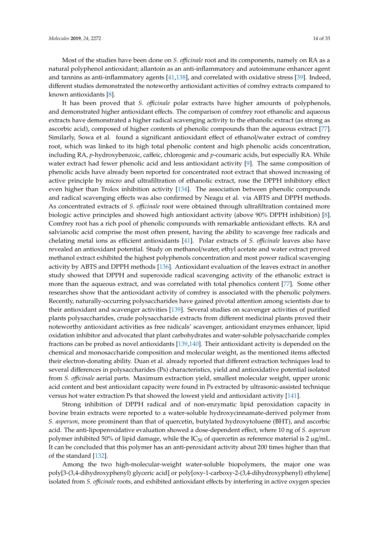Most of the studies have been done on *S. o*ffi*cinale* root and its components, namely on RA as a natural polyphenol antioxidant; allantoin as an anti-inflammatory and autoimmune enhancer agent and tannins as anti-inflammatory agents [\[41,](#page-26-11)[138\]](#page-31-0), and correlated with oxidative stress [\[39\]](#page-26-9). Indeed, different studies demonstrated the noteworthy antioxidant activities of comfrey extracts compared to known antioxidants [\[8\]](#page-24-7).

It has been proved that *S. o*ffi*cinale* polar extracts have higher amounts of polyphenols, and demonstrated higher antioxidant effects. The comparison of comfrey root ethanolic and aqueous extracts have demonstrated a higher radical scavenging activity to the ethanolic extract (as strong as ascorbic acid), composed of higher contents of phenolic compounds than the aqueous extract [\[77\]](#page-28-1). Similarly, Sowa et al. found a significant antioxidant effect of ethanol/water extract of comfrey root, which was linked to its high total phenolic content and high phenolic acids concentration, including RA, *p*-hydroxybenzoic, caffeic, chlorogenic and *p*-coumaric acids, but especially RA. While water extract had fewer phenolic acid and less antioxidant activity [\[9\]](#page-25-0). The same composition of phenolic acids have already been reported for concentrated root extract that showed increasing of active principle by micro and ultrafiltration of ethanolic extract, rose the DPPH inhibitory effect even higher than Trolox inhibition activity [\[134\]](#page-30-13). The association between phenolic compounds and radical scavenging effects was also confirmed by Neagu et al. via ABTS and DPPH methods. As concentrated extracts of *S. o*ffi*cinale* root were obtained through ultrafiltration contained more biologic active principles and showed high antioxidant activity (above 90% DPPH inhibition) [\[8\]](#page-24-7). Comfrey root has a rich pool of phenolic compounds with remarkable antioxidant effects. RA and salvianolic acid comprise the most often present, having the ability to scavenge free radicals and chelating metal ions as efficient antioxidants [\[41\]](#page-26-11). Polar extracts of *S. o*ffi*cinale* leaves also have revealed an antioxidant potential. Study on methanol/water, ethyl acetate and water extract proved methanol extract exhibited the highest polyphenols concentration and most power radical scavenging activity by ABTS and DPPH methods [\[136\]](#page-30-15). Antioxidant evaluation of the leaves extract in another study showed that DPPH and superoxide radical scavenging activity of the ethanolic extract is more than the aqueous extract, and was correlated with total phenolics content [\[77\]](#page-28-1). Some other researches show that the antioxidant activity of comfrey is associated with the phenolic polymers. Recently, naturally-occurring polysaccharides have gained pivotal attention among scientists due to their antioxidant and scavenger activities [\[139\]](#page-31-1). Several studies on scavenger activities of purified plants polysaccharides, crude polysaccharide extracts from different medicinal plants proved their noteworthy antioxidant activities as free radicals' scavenger, antioxidant enzymes enhancer, lipid oxidation inhibitor and advocated that plant carbohydrates and water-soluble polysaccharide complex fractions can be probed as novel antioxidants [\[139](#page-31-1)[,140\]](#page-31-2). Their antioxidant activity is depended on the chemical and monosaccharide composition and molecular weight, as the mentioned items affected their electron-donating ability. Duan et al. already reported that different extraction techniques lead to several differences in polysaccharides (Ps) characteristics, yield and antioxidative potential isolated from *S. o*ffi*cinale* aerial parts. Maximum extraction yield, smallest molecular weight, upper uronic acid content and best antioxidant capacity were found in Ps extracted by ultrasonic-assisted technique versus hot water extraction Ps that showed the lowest yield and antioxidant activity [\[141\]](#page-31-3).

Strong inhibition of DPPH radical and of non-enzymatic lipid peroxidation capacity in bovine brain extracts were reported to a water-soluble hydroxycinnamate-derived polymer from *S. asperum*, more prominent than that of quercetin, butylated hydroxytoluene (BHT), and ascorbic acid. The anti-lipoperoxidative evaluation showed a dose-dependent effect, where 10 ng of *S. asperum* polymer inhibited 50% of lipid damage, while the  $IC_{50}$  of quercetin as reference material is 2 µg/mL. It can be concluded that this polymer has an anti-peroxidant activity about 200 times higher than that of the standard [\[132\]](#page-30-11).

Among the two high-molecular-weight water-soluble biopolymers, the major one was poly[3-(3,4-dihydroxyphenyl) glyceric acid] or poly[oxy-1-carboxy-2-(3,4-dihydroxyphenyl) ethylene] isolated from *S. o*ffi*cinale* roots, and exhibited antioxidant effects by interfering in active oxygen species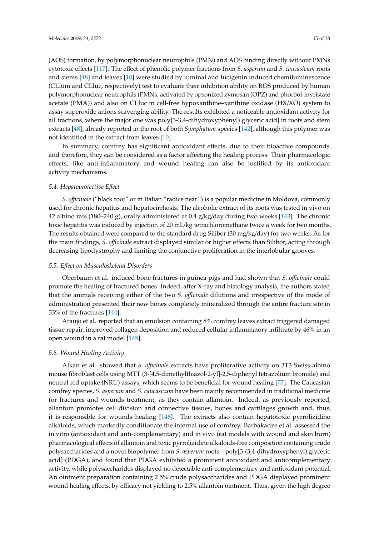(AOS) formation, by polymorphonuclear neutrophils (PMN) and AOS binding directly without PMNs cytotoxic effects [\[117\]](#page-29-19). The effect of phenolic polymer fractions from *S. asperum* and *S. caucasicum* roots and stems [\[48\]](#page-26-32) and leaves [\[10\]](#page-25-1) were studied by luminal and lucigenin induced chemiluminescence (CLlum and CLluc, respectively) test to evaluate their inhibition ability on ROS produced by human polymorphonuclear neutrophils (PMNs; activated by opsonized zymosan (OPZ) and phorbol-myristate acetate (PMA)) and also on CLluc in cell-free hypoxanthine–xanthine oxidase (HX/XO) system to assay superoxide anions scavenging ability. The results exhibited a noticeable antioxidant activity for all fractions, where the major one was poly[3-3,4-dihydroxyphenyl) glyceric acid] in roots and stem extracts [\[48\]](#page-26-32), already reported in the root of both *Symphytum* species [\[142\]](#page-31-4), although this polymer was not identified in the extract from leaves [\[10\]](#page-25-1).

In summary, comfrey has significant antioxidant effects, due to their bioactive compounds, and therefore, they can be considered as a factor affecting the healing process. Their pharmacologic effects, like anti-inflammatory and wound healing can also be justified by its antioxidant activity mechanisms.

## *5.4. Hepatoprotective E*ff*ect*

*S. o*ffi*cinale* ("black root" or in Italian "radice near") is a popular medicine in Moldova, commonly used for chronic hepatitis and hepatocirrhosis. The alcoholic extract of its roots was tested in vivo on 42 albino rats (180–240 g), orally administered at 0.4 g/kg/day during two weeks [\[143\]](#page-31-5). The chronic toxic hepatitis was induced by injection of 20 mL/kg tetrachloromethane twice a week for two months. The results obtained were compared to the standard drug Silibor (30 mg/kg/day) for two weeks. As for the main findings, *S. o*ffi*cinale* extract displayed similar or higher effects than Silibor, acting through decreasing lipodystrophy and limiting the conjunctive proliferation in the interlobular grooves.

#### *5.5. E*ff*ect on Musculoskeletal Disorders*

Oberbaum et al. induced bone fractures in guinea pigs and had shown that *S. o*ffi*cinale* could promote the healing of fractured bones. Indeed, after X-ray and histology analysis, the authors stated that the animals receiving either of the two *S. o*ffi*cinale* dilutions and irrespective of the mode of administration presented their new bones completely mineralized through the entire fracture site in 33% of the fractures [\[144\]](#page-31-6).

Araujo et al. reported that an emulsion containing 8% comfrey leaves extract triggered damaged tissue repair, improved collagen deposition and reduced cellular inflammatory infiltrate by 46% in an open wound in a rat model [\[145\]](#page-31-7).

#### *5.6. Wound Healing Activity*

Alkan et al. showed that *S. o*ffi*cinale* extracts have proliferative activity on 3T3 Swiss albino mouse fibroblast cells using MTT (3-[4,5-dimethylthiazol-2-yl]-2,5-diphenyl tetrazolium bromide) and neutral red uptake (NRU) assays, which seems to be beneficial for wound healing [\[77\]](#page-28-1). The Caucasian comfrey species, *S. asperum* and *S. caucasicum* have been mainly recommended in traditional medicine for fractures and wounds treatment, as they contain allantoin. Indeed, as previously reported, allantoin promotes cell division and connective tissues, bones and cartilages growth and, thus, it is responsible for wounds healing [\[146\]](#page-31-8). The extracts also contain hepatotoxic pyrrolizidine alkaloids, which markedly conditionate the internal use of comfrey. Barbakadze et al. assessed the in vitro (antioxidant and anti-complementary) and in vivo (rat models with wound and skin burn) pharmacological effects of allantoin and toxic pyrrolizidine alkaloids-free composition containing crude polysaccharides and a novel biopolymer from *S. asperum* roots—poly[3-(3,4-dihydroxyphenyl) glyceric acid] (PDGA), and found that PDGA exhibited a prominent antioxidant and anticomplementary activity, while polysaccharides displayed no detectable anti-complementary and antioxidant potential. An ointment preparation containing 2.5% crude polysaccharides and PDGA displayed prominent wound healing effects, by efficacy not yielding to 2.5% allantoin ointment. Thus, given the high degree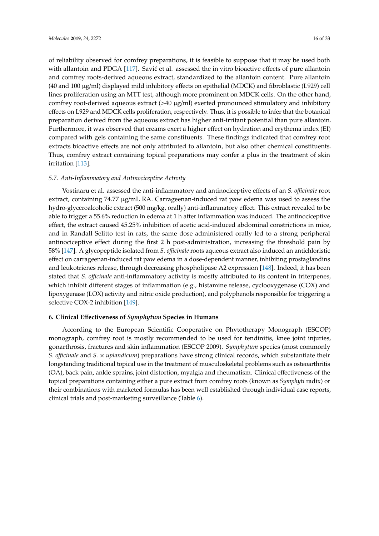of reliability observed for comfrey preparations, it is feasible to suppose that it may be used both with allantoin and PDGA [\[117\]](#page-29-19). Savić et al. assessed the in vitro bioactive effects of pure allantoin and comfrey roots-derived aqueous extract, standardized to the allantoin content. Pure allantoin (40 and 100 µg/ml) displayed mild inhibitory effects on epithelial (MDCK) and fibroblastic (L929) cell lines proliferation using an MTT test, although more prominent on MDCK cells. On the other hand, comfrey root-derived aqueous extract  $(>40 \mu g/ml)$  exerted pronounced stimulatory and inhibitory effects on L929 and MDCK cells proliferation, respectively. Thus, it is possible to infer that the botanical preparation derived from the aqueous extract has higher anti-irritant potential than pure allantoin. Furthermore, it was observed that creams exert a higher effect on hydration and erythema index (EI) compared with gels containing the same constituents. These findings indicated that comfrey root extracts bioactive effects are not only attributed to allantoin, but also other chemical constituents. Thus, comfrey extract containing topical preparations may confer a plus in the treatment of skin irritation [\[113\]](#page-29-15).

# *5.7. Anti-Inflammatory and Antinociceptive Activity*

Vostinaru et al. assessed the anti-inflammatory and antinociceptive effects of an *S. o*ffi*cinale* root extract, containing 74.77  $\mu$ g/mL RA. Carrageenan-induced rat paw edema was used to assess the hydro-glyceroalcoholic extract (500 mg/kg, orally) anti-inflammatory effect. This extract revealed to be able to trigger a 55.6% reduction in edema at 1 h after inflammation was induced. The antinociceptive effect, the extract caused 45.25% inhibition of acetic acid-induced abdominal constrictions in mice, and in Randall Selitto test in rats, the same dose administered orally led to a strong peripheral antinociceptive effect during the first 2 h post-administration, increasing the threshold pain by 58% [\[147\]](#page-31-9). A glycopeptide isolated from *S. o*ffi*cinale* roots aqueous extract also induced an antichloristic effect on carrageenan-induced rat paw edema in a dose-dependent manner, inhibiting prostaglandins and leukotrienes release, through decreasing phospholipase A2 expression [\[148\]](#page-31-10). Indeed, it has been stated that *S. o*ffi*cinale* anti-inflammatory activity is mostly attributed to its content in triterpenes, which inhibit different stages of inflammation (e.g., histamine release, cyclooxygenase (COX) and lipoxygenase (LOX) activity and nitric oxide production), and polyphenols responsible for triggering a selective COX-2 inhibition [\[149\]](#page-31-11).

#### **6. Clinical E**ff**ectiveness of** *Symphytum* **Species in Humans**

According to the European Scientific Cooperative on Phytotherapy Monograph (ESCOP) monograph, comfrey root is mostly recommended to be used for tendinitis, knee joint injuries, gonarthrosis, fractures and skin inflammation (ESCOP 2009). *Symphytum* species (most commonly *S. o*ffi*cinale* and *S.* × *uplandicum*) preparations have strong clinical records, which substantiate their longstanding traditional topical use in the treatment of musculoskeletal problems such as osteoarthritis (OA), back pain, ankle sprains, joint distortion, myalgia and rheumatism. Clinical effectiveness of the topical preparations containing either a pure extract from comfrey roots (known as *Symphyti* radix) or their combinations with marketed formulas has been well established through individual case reports, clinical trials and post-marketing surveillance (Table [6\)](#page-16-0).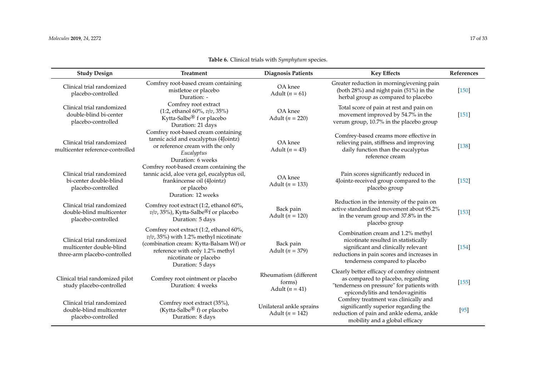<span id="page-16-0"></span>

| <b>Study Design</b>                                                                   | <b>Treatment</b>                                                                                                                                                                                               | <b>Diagnosis Patients</b>                           | <b>Key Effects</b>                                                                                                                                                                               | References |
|---------------------------------------------------------------------------------------|----------------------------------------------------------------------------------------------------------------------------------------------------------------------------------------------------------------|-----------------------------------------------------|--------------------------------------------------------------------------------------------------------------------------------------------------------------------------------------------------|------------|
| Clinical trial randomized<br>placebo-controlled                                       | Comfrey root-based cream containing<br>mistletoe or placebo<br>Duration: -                                                                                                                                     | OA knee<br>Adult $(n = 61)$                         | Greater reduction in morning/evening pain<br>(both 28%) and night pain (51%) in the<br>herbal group as compared to placebo                                                                       | $[150]$    |
| Clinical trial randomized<br>double-blind bi-center<br>placebo-controlled             | Comfrey root extract<br>$(1:2,$ ethanol 60%, $v/v$ , 35%)<br>Kytta-Salbe <sup>®</sup> f or placebo<br>Duration: 21 days                                                                                        | OA knee<br>Adult ( $n = 220$ )                      | Total score of pain at rest and pain on<br>movement improved by 54.7% in the<br>verum group, 10.7% in the placebo group                                                                          | $[151]$    |
| Clinical trial randomized<br>multicenter reference-controlled                         | Comfrey root-based cream containing<br>tannic acid and eucalyptus (4Jointz)<br>or reference cream with the only<br>Eucalyptus<br>Duration: 6 weeks                                                             | OA knee<br>Adult $(n = 43)$                         | Comfrey-based creams more effective in<br>relieving pain, stiffness and improving<br>daily function than the eucalyptus<br>reference cream                                                       | $[138]$    |
| Clinical trial randomized<br>bi-center double-blind<br>placebo-controlled             | Comfrey root-based cream containing the<br>tannic acid, aloe vera gel, eucalyptus oil,<br>frankincense oil (4Jointz)<br>or placebo<br>Duration: 12 weeks                                                       | OA knee<br>Adult ( $n = 133$ )                      | Pain scores significantly reduced in<br>4Jointz-received group compared to the<br>placebo group                                                                                                  | $[152]$    |
| Clinical trial randomized<br>double-blind multicenter<br>placebo-controlled           | Comfrey root extract (1:2, ethanol 60%,<br>$v/v$ , 35%), Kytta-Salbe®f or placebo<br>Duration: 5 days                                                                                                          | Back pain<br>Adult ( $n = 120$ )                    | Reduction in the intensity of the pain on<br>active standardized movement about 95.2%<br>in the verum group and 37.8% in the<br>placebo group                                                    | $[153]$    |
| Clinical trial randomized<br>multicenter double-blind<br>three-arm placebo-controlled | Comfrey root extract (1:2, ethanol 60%,<br>$v/v$ , 35%) with 1.2% methyl nicotinate<br>(combination cream: Kytta-Balsam Wf) or<br>reference with only 1.2% methyl<br>nicotinate or placebo<br>Duration: 5 days | Back pain<br>Adult ( $n = 379$ )                    | Combination cream and 1.2% methyl<br>nicotinate resulted in statistically<br>significant and clinically relevant<br>reductions in pain scores and increases in<br>tenderness compared to placebo | $[154]$    |
| Clinical trial randomized pilot<br>study placebo-controlled                           | Comfrey root ointment or placebo<br>Duration: 4 weeks                                                                                                                                                          | Rheumatism (different<br>forms)<br>Adult $(n = 41)$ | Clearly better efficacy of comfrey ointment<br>as compared to placebo, regarding<br>"tenderness on pressure" for patients with<br>epicondylitis and tendovaginitis                               | $[155]$    |
| Clinical trial randomized<br>double-blind multicenter<br>placebo-controlled           | Comfrey root extract (35%),<br>(Kytta-Salbe <sup>®</sup> f) or placebo<br>Duration: 8 days                                                                                                                     | Unilateral ankle sprains<br>Adult ( $n = 142$ )     | Comfrey treatment was clinically and<br>significantly superior regarding the<br>reduction of pain and ankle edema, ankle<br>mobility and a global efficacy                                       | [95]       |

**Table 6.** Clinical trials with *Symphytum* species.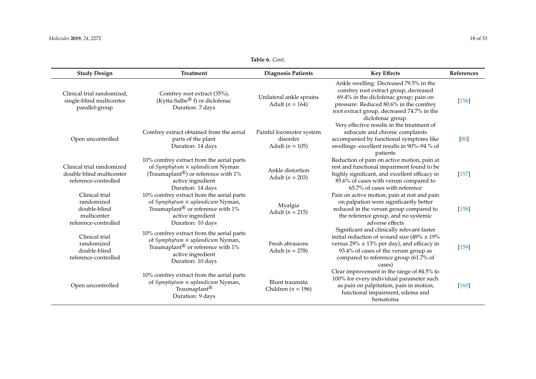| <b>Study Design</b>                                                                 | <b>Treatment</b>                                                                                                                                                            | <b>Diagnosis Patients</b>                                   | <b>Key Effects</b>                                                                                                                                                                                                                             | References |
|-------------------------------------------------------------------------------------|-----------------------------------------------------------------------------------------------------------------------------------------------------------------------------|-------------------------------------------------------------|------------------------------------------------------------------------------------------------------------------------------------------------------------------------------------------------------------------------------------------------|------------|
| Clinical trial randomized,<br>single-blind multicenter<br>parallel-group            | Comfrey root extract (35%),<br>(Kytta-Salbe® f) or diclofenac<br>Duration: 7 days                                                                                           | Unilateral ankle sprains<br>Adult ( $n = 164$ )             | Ankle swelling: Decreased 79.5% in the<br>comfrey root extract group, decreased<br>69.4% in the diclofenac group; pain on<br>pressure: Reduced 80.6% in the comfrey<br>root extract group, decreased 74.7% in the<br>diclofenac group.         | $[156]$    |
| Open uncontrolled                                                                   | Comfrey extract obtained from the aerial<br>parts of the plant<br>Duration: 14 days                                                                                         | Painful locomotor system<br>disorder<br>Adult ( $n = 105$ ) | Very effective results in the treatment of<br>subacute and chronic complaints<br>accompanied by functional symptoms like<br>swellings -excellent results in 90%-94 % of<br>patients                                                            | [80]       |
| Clinical trial randomized<br>double blind multicenter<br>reference-controlled       | 10% comfrey extract from the aerial parts<br>of Symphytum $\times$ uplandicum Nyman<br>(Traumaplant®) or reference with $1\%$<br>active ingredient<br>Duration: 14 days     | Ankle distortion<br>Adult ( $n = 203$ )                     | Reduction of pain on active motion, pain at<br>rest and functional impairment found to be<br>highly significant, and excellent efficacy in<br>85.6% of cases with verum compared to<br>65.7% of cases with reference                           | $[157]$    |
| Clinical trial<br>randomized<br>double-blind<br>multicenter<br>reference-controlled | 10% comfrey extract from the aerial parts<br>of Symphytum × uplandicum Nyman,<br>Traumaplant <sup>®</sup> or reference with $1\%$<br>active ingredient<br>Duration: 10 days | Myalgia<br>Adult ( $n = 215$ )                              | Pain on active motion, pain at rest and pain<br>on palpation were significantly better<br>reduced in the verum group compared to<br>the reference group, and no systemic<br>adverse effects                                                    | $[158]$    |
| Clinical trial<br>randomized<br>double-blind<br>reference-controlled                | 10% comfrey extract from the aerial parts<br>of Symphytum × uplandicum Nyman,<br>Traumaplant <sup>®</sup> or reference with 1%<br>active ingredient<br>Duration: 10 days    | Fresh abrasions<br>Adult ( $n = 278$ )                      | Significant and clinically relevant faster<br>initial reduction of wound size $(49\% \pm 19\%)$<br>versus $29\% \pm 13\%$ per day), and efficacy in<br>93.4% of cases of the verum group as<br>compared to reference group (61.7% of<br>cases) | $[159]$    |
| Open uncontrolled                                                                   | 10% comfrey extract from the aerial parts<br>of Symphytum × uplandicum Nyman,<br>Traumaplant <sup>®</sup><br>Duration: 9 days                                               | Blunt traumata<br>Children ( $n = 196$ )                    | Clear improvement in the range of 84.5% to<br>100% for every individual parameter such<br>as pain on palpitation, pain in motion,<br>functional impairment, edema and<br>hematoma                                                              | $[160]$    |

# **Table 6.** *Cont.*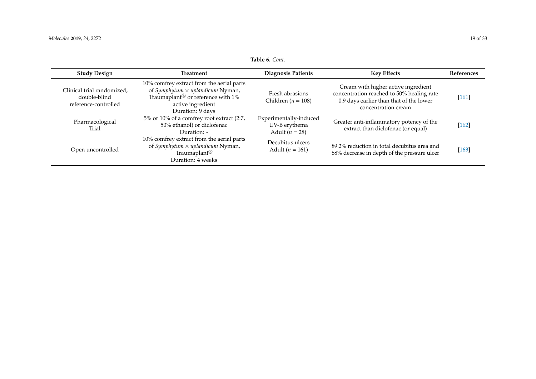# **Table 6.** *Cont.*

| <b>Study Design</b>                                                | <b>Treatment</b>                                                                                                                                                               | <b>Diagnosis Patients</b>                                   | <b>Key Effects</b>                                                                                                                                 | <b>References</b> |
|--------------------------------------------------------------------|--------------------------------------------------------------------------------------------------------------------------------------------------------------------------------|-------------------------------------------------------------|----------------------------------------------------------------------------------------------------------------------------------------------------|-------------------|
| Clinical trial randomized,<br>double-blind<br>reference-controlled | 10% comfrey extract from the aerial parts<br>of Symphytum $\times$ uplandicum Nyman,<br>Traumaplant <sup>®</sup> or reference with 1%<br>active ingredient<br>Duration: 9 days | Fresh abrasions<br>Children ( $n = 108$ )                   | Cream with higher active ingredient<br>concentration reached to 50% healing rate<br>0.9 days earlier than that of the lower<br>concentration cream | $[161]$           |
| Pharmacological<br>Trial                                           | 5% or 10% of a comfrey root extract (2:7,<br>50% ethanol) or diclofenac<br>$D$ uration: $-$                                                                                    | Experimentally-induced<br>UV-B erythema<br>Adult $(n = 28)$ | Greater anti-inflammatory potency of the<br>extract than diclofenac (or equal)                                                                     | [162]             |
| Open uncontrolled                                                  | 10% comfrey extract from the aerial parts<br>of Symphytum $\times$ uplandicum Nyman,<br>Traumaplant <sup>®</sup><br>Duration: 4 weeks                                          | Decubitus ulcers<br>Adult ( $n = 161$ )                     | 89.2% reduction in total decubitus area and<br>88% decrease in depth of the pressure ulcer                                                         | [163]             |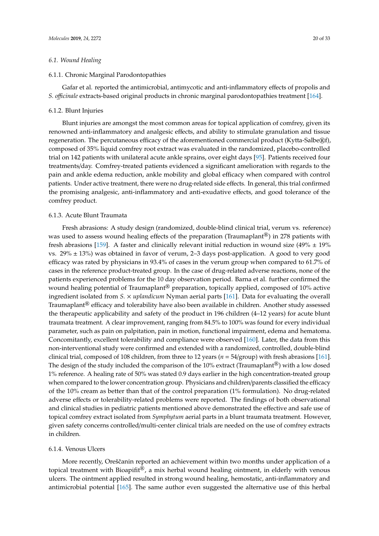# *6.1. Wound Healing*

# 6.1.1. Chronic Marginal Parodontopathies

Gafar et al. reported the antimicrobial, antimycotic and anti-inflammatory effects of propolis and *S. o*ffi*cinale* extracts-based original products in chronic marginal parodontopathies treatment [\[164\]](#page-32-6).

#### 6.1.2. Blunt Injuries

Blunt injuries are amongst the most common areas for topical application of comfrey, given its renowned anti-inflammatory and analgesic effects, and ability to stimulate granulation and tissue regeneration. The percutaneous efficacy of the aforementioned commercial product (Kytta-Salbe®f), composed of 35% liquid comfrey root extract was evaluated in the randomized, placebo-controlled trial on 142 patients with unilateral acute ankle sprains, over eight days [\[95\]](#page-28-17). Patients received four treatments/day. Comfrey-treated patients evidenced a significant amelioration with regards to the pain and ankle edema reduction, ankle mobility and global efficacy when compared with control patients. Under active treatment, there were no drug-related side effects. In general, this trial confirmed the promising analgesic, anti-inflammatory and anti-exudative effects, and good tolerance of the comfrey product.

#### 6.1.3. Acute Blunt Traumata

Fresh abrasions: A study design (randomized, double-blind clinical trial, verum vs. reference) was used to assess wound healing effects of the preparation (Traumaplant<sup>®</sup>) in 278 patients with fresh abrasions [\[159\]](#page-32-7). A faster and clinically relevant initial reduction in wound size (49%  $\pm$  19% vs. 29% ± 13%) was obtained in favor of verum, 2–3 days post-application. A good to very good efficacy was rated by physicians in 93.4% of cases in the verum group when compared to 61.7% of cases in the reference product-treated group. In the case of drug-related adverse reactions, none of the patients experienced problems for the 10 day observation period. Barna et al. further confirmed the wound healing potential of Traumaplant® preparation, topically applied, composed of 10% active ingredient isolated from *S.* × *uplandicum* Nyman aerial parts [\[161\]](#page-32-8). Data for evaluating the overall Traumaplant<sup>®</sup> efficacy and tolerability have also been available in children. Another study assessed the therapeutic applicability and safety of the product in 196 children (4–12 years) for acute blunt traumata treatment. A clear improvement, ranging from 84.5% to 100% was found for every individual parameter, such as pain on palpitation, pain in motion, functional impairment, edema and hematoma. Concomitantly, excellent tolerability and compliance were observed [\[160\]](#page-32-9). Later, the data from this non-interventional study were confirmed and extended with a randomized, controlled, double-blind clinical trial, composed of 108 children, from three to 12 years (*n* = 54/group) with fresh abrasions [\[161\]](#page-32-8). The design of the study included the comparison of the 10% extract (Traumaplant®) with a low dosed 1% reference. A healing rate of 50% was stated 0.9 days earlier in the high concentration-treated group when compared to the lower concentration group. Physicians and children/parents classified the efficacy of the 10% cream as better than that of the control preparation (1% formulation). No drug-related adverse effects or tolerability-related problems were reported. The findings of both observational and clinical studies in pediatric patients mentioned above demonstrated the effective and safe use of topical comfrey extract isolated from *Symphytum* aerial parts in a blunt traumata treatment. However, given safety concerns controlled/multi-center clinical trials are needed on the use of comfrey extracts in children.

# 6.1.4. Venous Ulcers

More recently, Oreščanin reported an achievement within two months under application of a topical treatment with Bioapifit<sup>®</sup>, a mix herbal wound healing ointment, in elderly with venous ulcers. The ointment applied resulted in strong wound healing, hemostatic, anti-inflammatory and antimicrobial potential [\[165\]](#page-32-10). The same author even suggested the alternative use of this herbal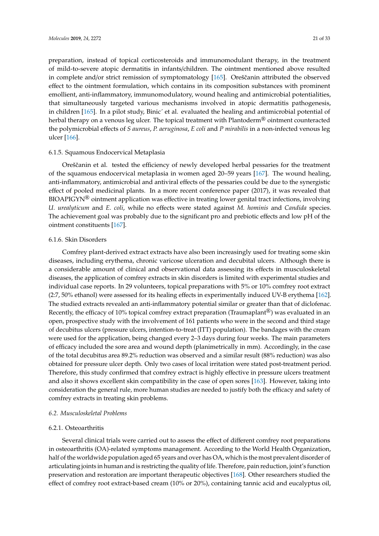preparation, instead of topical corticosteroids and immunomodulant therapy, in the treatment of mild-to-severe atopic dermatitis in infants/children. The ointment mentioned above resulted in complete and/or strict remission of symptomatology  $[165]$ . Ore sčanin attributed the observed effect to the ointment formulation, which contains in its composition substances with prominent emollient, anti-inflammatory, immunomodulatory, wound healing and antimicrobial potentialities, that simultaneously targeted various mechanisms involved in atopic dermatitis pathogenesis, in children [\[165\]](#page-32-10). In a pilot study, Binic´ et al. evaluated the healing and antimicrobial potential of herbal therapy on a venous leg ulcer. The topical treatment with Plantoderm<sup>®</sup> ointment counteracted the polymicrobial effects of *S aureus*, *P. aeruginosa*, *E coli* and *P mirabilis* in a non-infected venous leg ulcer [\[166\]](#page-32-11).

## 6.1.5. Squamous Endocervical Metaplasia

Oreščanin et al. tested the efficiency of newly developed herbal pessaries for the treatment of the squamous endocervical metaplasia in women aged 20–59 years [\[167\]](#page-32-12). The wound healing, anti-inflammatory, antimicrobial and antiviral effects of the pessaries could be due to the synergistic effect of pooled medicinal plants. In a more recent conference paper (2017), it was revealed that  $BIOAPIGYN^{\circledR}$  ointment application was effective in treating lower genital tract infections, involving *U. urealyticum* and *E. coli*, while no effects were stated against *M. hominis* and *Candida* species. The achievement goal was probably due to the significant pro and prebiotic effects and low pH of the ointment constituents [\[167\]](#page-32-12).

# 6.1.6. Skin Disorders

Comfrey plant-derived extract extracts have also been increasingly used for treating some skin diseases, including erythema, chronic varicose ulceration and decubital ulcers. Although there is a considerable amount of clinical and observational data assessing its effects in musculoskeletal diseases, the application of comfrey extracts in skin disorders is limited with experimental studies and individual case reports. In 29 volunteers, topical preparations with 5% or 10% comfrey root extract (2:7, 50% ethanol) were assessed for its healing effects in experimentally induced UV-B erythema [\[162\]](#page-32-13). The studied extracts revealed an anti-inflammatory potential similar or greater than that of diclofenac. Recently, the efficacy of 10% topical comfrey extract preparation (Traumaplant<sup>®</sup>) was evaluated in an open, prospective study with the involvement of 161 patients who were in the second and third stage of decubitus ulcers (pressure ulcers, intention-to-treat (ITT) population). The bandages with the cream were used for the application, being changed every 2–3 days during four weeks. The main parameters of efficacy included the sore area and wound depth (planimetrically in mm). Accordingly, in the case of the total decubitus area 89.2% reduction was observed and a similar result (88% reduction) was also obtained for pressure ulcer depth. Only two cases of local irritation were stated post-treatment period. Therefore, this study confirmed that comfrey extract is highly effective in pressure ulcers treatment and also it shows excellent skin compatibility in the case of open sores [\[163\]](#page-32-14). However, taking into consideration the general rule, more human studies are needed to justify both the efficacy and safety of comfrey extracts in treating skin problems.

# *6.2. Musculoskeletal Problems*

## 6.2.1. Osteoarthritis

Several clinical trials were carried out to assess the effect of different comfrey root preparations in osteoarthritis (OA)-related symptoms management. According to the World Health Organization, half of the worldwide population aged 65 years and over has OA, which is the most prevalent disorder of articulating joints in human and is restricting the quality of life. Therefore, pain reduction, joint's function preservation and restoration are important therapeutic objectives [\[168\]](#page-32-15). Other researchers studied the effect of comfrey root extract-based cream (10% or 20%), containing tannic acid and eucalyptus oil,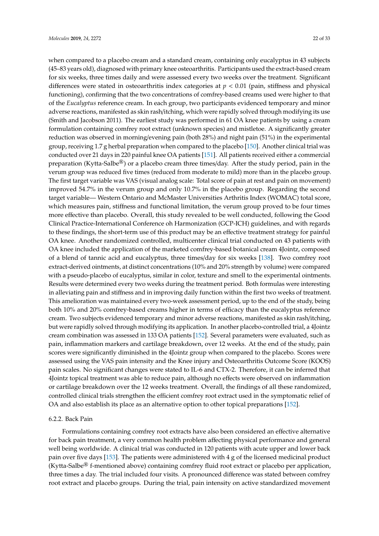when compared to a placebo cream and a standard cream, containing only eucalyptus in 43 subjects (45–83 years old), diagnosed with primary knee osteoarthritis. Participants used the extract-based cream for six weeks, three times daily and were assessed every two weeks over the treatment. Significant differences were stated in osteoarthritis index categories at *p* < 0.01 (pain, stiffness and physical functioning), confirming that the two concentrations of comfrey-based creams used were higher to that of the *Eucalyptus* reference cream. In each group, two participants evidenced temporary and minor adverse reactions, manifested as skin rash/itching, which were rapidly solved through modifying its use (Smith and Jacobson 2011). The earliest study was performed in 61 OA knee patients by using a cream formulation containing comfrey root extract (unknown species) and mistletoe. A significantly greater reduction was observed in morning/evening pain (both 28%) and night pain (51%) in the experimental group, receiving 1.7 g herbal preparation when compared to the placebo [\[150\]](#page-31-20). Another clinical trial was conducted over 21 days in 220 painful knee OA patients [\[151\]](#page-31-21). All patients received either a commercial preparation (Kytta-Salbe®) or a placebo cream three times/day. After the study period, pain in the verum group was reduced five times (reduced from moderate to mild) more than in the placebo group. The first target variable was VAS (visual analog scale: Total score of pain at rest and pain on movement) improved 54.7% in the verum group and only 10.7% in the placebo group. Regarding the second target variable— Western Ontario and McMaster Universities Arthritis Index (WOMAC) total score, which measures pain, stiffness and functional limitation, the verum group proved to be four times more effective than placebo. Overall, this study revealed to be well conducted, following the Good Clinical Practice-International Conference oh Harmonization (GCP-ICH) guidelines, and with regards to these findings, the short-term use of this product may be an effective treatment strategy for painful OA knee. Another randomized controlled, multicenter clinical trial conducted on 43 patients with OA knee included the application of the marketed comfrey-based botanical cream 4Jointz, composed of a blend of tannic acid and eucalyptus, three times/day for six weeks [\[138\]](#page-31-0). Two comfrey root extract-derived ointments, at distinct concentrations (10% and 20% strength by volume) were compared with a pseudo-placebo of eucalyptus, similar in color, texture and smell to the experimental ointments. Results were determined every two weeks during the treatment period. Both formulas were interesting in alleviating pain and stiffness and in improving daily function within the first two weeks of treatment. This amelioration was maintained every two-week assessment period, up to the end of the study, being both 10% and 20% comfrey-based creams higher in terms of efficacy than the eucalyptus reference cream. Two subjects evidenced temporary and minor adverse reactions, manifested as skin rash/itching, but were rapidly solved through modifying its application. In another placebo-controlled trial, a 4Jointz cream combination was assessed in 133 OA patients [\[152\]](#page-31-22). Several parameters were evaluated, such as pain, inflammation markers and cartilage breakdown, over 12 weeks. At the end of the study, pain scores were significantly diminished in the 4Jointz group when compared to the placebo. Scores were assessed using the VAS pain intensity and the Knee injury and Osteoarthritis Outcome Score (KOOS) pain scales. No significant changes were stated to IL-6 and CTX-2. Therefore, it can be inferred that 4Jointz topical treatment was able to reduce pain, although no effects were observed on inflammation or cartilage breakdown over the 12 weeks treatment. Overall, the findings of all these randomized, controlled clinical trials strengthen the efficient comfrey root extract used in the symptomatic relief of OA and also establish its place as an alternative option to other topical preparations [\[152\]](#page-31-22).

#### 6.2.2. Back Pain

Formulations containing comfrey root extracts have also been considered an effective alternative for back pain treatment, a very common health problem affecting physical performance and general well being worldwide. A clinical trial was conducted in 120 patients with acute upper and lower back pain over five days [\[153\]](#page-31-23). The patients were administered with 4 g of the licensed medicinal product (Kytta-Salbe® f-mentioned above) containing comfrey fluid root extract or placebo per application, three times a day. The trial included four visits. A pronounced difference was stated between comfrey root extract and placebo groups. During the trial, pain intensity on active standardized movement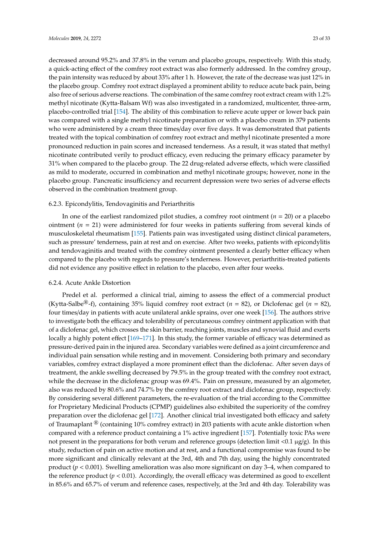decreased around 95.2% and 37.8% in the verum and placebo groups, respectively. With this study, a quick-acting effect of the comfrey root extract was also formerly addressed. In the comfrey group, the pain intensity was reduced by about 33% after 1 h. However, the rate of the decrease was just 12% in the placebo group. Comfrey root extract displayed a prominent ability to reduce acute back pain, being also free of serious adverse reactions. The combination of the same comfrey root extract cream with 1.2% methyl nicotinate (Kytta-Balsam Wf) was also investigated in a randomized, multicenter, three-arm, placebo-controlled trial [\[154\]](#page-31-24). The ability of this combination to relieve acute upper or lower back pain was compared with a single methyl nicotinate preparation or with a placebo cream in 379 patients who were administered by a cream three times/day over five days. It was demonstrated that patients treated with the topical combination of comfrey root extract and methyl nicotinate presented a more pronounced reduction in pain scores and increased tenderness. As a result, it was stated that methyl nicotinate contributed verily to product efficacy, even reducing the primary efficacy parameter by 31% when compared to the placebo group. The 22 drug-related adverse effects, which were classified as mild to moderate, occurred in combination and methyl nicotinate groups; however, none in the placebo group. Pancreatic insufficiency and recurrent depression were two series of adverse effects observed in the combination treatment group.

# 6.2.3. Epicondylitis, Tendovaginitis and Periarthritis

In one of the earliest randomized pilot studies, a comfrey root ointment (*n* = 20) or a placebo ointment ( $n = 21$ ) were administered for four weeks in patients suffering from several kinds of musculoskeletal rheumatism [\[155\]](#page-31-25). Patients pain was investigated using distinct clinical parameters, such as pressure' tenderness, pain at rest and on exercise. After two weeks, patients with epicondylitis and tendovaginitis and treated with the comfrey ointment presented a clearly better efficacy when compared to the placebo with regards to pressure's tenderness. However, periarthritis-treated patients did not evidence any positive effect in relation to the placebo, even after four weeks.

# 6.2.4. Acute Ankle Distortion

Predel et al. performed a clinical trial, aiming to assess the effect of a commercial product (Kytta-Salbe®-f), containing 35% liquid comfrey root extract (*n* = 82), or Diclofenac gel (*n* = 82), four times/day in patients with acute unilateral ankle sprains, over one week [\[156\]](#page-31-26). The authors strive to investigate both the efficacy and tolerability of percutaneous comfrey ointment application with that of a diclofenac gel, which crosses the skin barrier, reaching joints, muscles and synovial fluid and exerts locally a highly potent effect [\[169–](#page-32-16)[171\]](#page-32-17). In this study, the former variable of efficacy was determined as pressure-derived pain in the injured area. Secondary variables were defined as a joint circumference and individual pain sensation while resting and in movement. Considering both primary and secondary variables, comfrey extract displayed a more prominent effect than the diclofenac. After seven days of treatment, the ankle swelling decreased by 79.5% in the group treated with the comfrey root extract, while the decrease in the diclofenac group was 69.4%. Pain on pressure, measured by an algometer, also was reduced by 80.6% and 74.7% by the comfrey root extract and diclofenac group, respectively. By considering several different parameters, the re-evaluation of the trial according to the Committee for Proprietary Medicinal Products (CPMP) guidelines also exhibited the superiority of the comfrey preparation over the diclofenac gel [\[172\]](#page-32-18). Another clinical trial investigated both efficacy and safety of Traumaplant  $\mathcal{B}$  (containing 10% comfrey extract) in 203 patients with acute ankle distortion when compared with a reference product containing a 1% active ingredient [\[157\]](#page-31-27). Potentially toxic PAs were not present in the preparations for both verum and reference groups (detection limit <0.1 µg/g). In this study, reduction of pain on active motion and at rest, and a functional compromise was found to be more significant and clinically relevant at the 3rd, 4th and 7th day, using the highly concentrated product (*p* < 0.001). Swelling amelioration was also more significant on day 3–4, when compared to the reference product  $(p < 0.01)$ . Accordingly, the overall efficacy was determined as good to excellent in 85.6% and 65.7% of verum and reference cases, respectively, at the 3rd and 4th day. Tolerability was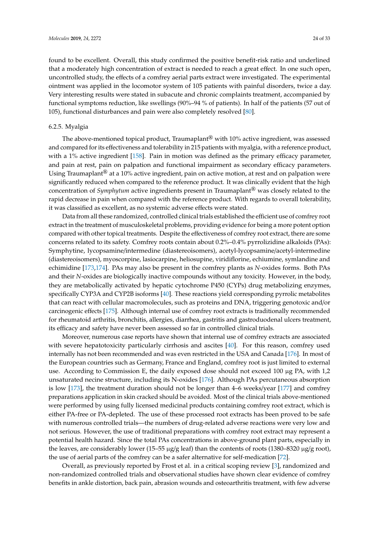found to be excellent. Overall, this study confirmed the positive benefit-risk ratio and underlined that a moderately high concentration of extract is needed to reach a great effect. In one such open, uncontrolled study, the effects of a comfrey aerial parts extract were investigated. The experimental ointment was applied in the locomotor system of 105 patients with painful disorders, twice a day. Very interesting results were stated in subacute and chronic complaints treatment, accompanied by functional symptoms reduction, like swellings (90%–94 % of patients). In half of the patients (57 out of 105), functional disturbances and pain were also completely resolved [\[80\]](#page-28-4).

#### 6.2.5. Myalgia

The above-mentioned topical product, Traumaplant<sup>®</sup> with 10% active ingredient, was assessed and compared for its effectiveness and tolerability in 215 patients with myalgia, with a reference product, with a 1% active ingredient [\[158\]](#page-32-19). Pain in motion was defined as the primary efficacy parameter, and pain at rest, pain on palpation and functional impairment as secondary efficacy parameters. Using Traumaplant® at a 10% active ingredient, pain on active motion, at rest and on palpation were significantly reduced when compared to the reference product. It was clinically evident that the high concentration of *Symphytum* active ingredients present in Traumaplant® was closely related to the rapid decrease in pain when compared with the reference product. With regards to overall tolerability, it was classified as excellent, as no systemic adverse effects were stated.

Data from all these randomized, controlled clinical trials established the efficient use of comfrey root extract in the treatment of musculoskeletal problems, providing evidence for being a more potent option compared with other topical treatments. Despite the effectiveness of comfrey root extract, there are some concerns related to its safety. Comfrey roots contain about 0.2%–0.4% pyrrolizidine alkaloids (PAs): Symphytine, lycopsamine/intermedine (diastereoisomers), acetyl-lycopsamine/acetyl-intermedine (diastereoisomers), myoscorpine, lasiocarpine, heliosupine, viridiflorine, echiumine, symlandine and echimidine [\[173](#page-32-20)[,174\]](#page-32-21). PAs may also be present in the comfrey plants as *N*-oxides forms. Both PAs and their *N*-oxides are biologically inactive compounds without any toxicity. However, in the body, they are metabolically activated by hepatic cytochrome P450 (CYPs) drug metabolizing enzymes, specifically CYP3A and CYP2B isoforms [\[40\]](#page-26-10). These reactions yield corresponding pyrrolic metabolites that can react with cellular macromolecules, such as proteins and DNA, triggering genotoxic and/or carcinogenic effects [\[175\]](#page-32-22). Although internal use of comfrey root extracts is traditionally recommended for rheumatoid arthritis, bronchitis, allergies, diarrhea, gastritis and gastroduodenal ulcers treatment, its efficacy and safety have never been assessed so far in controlled clinical trials.

Moreover, numerous case reports have shown that internal use of comfrey extracts are associated with severe hepatotoxicity particularly cirrhosis and ascites [\[40\]](#page-26-10). For this reason, comfrey used internally has not been recommended and was even restricted in the USA and Canada [\[176\]](#page-32-23). In most of the European countries such as Germany, France and England, comfrey root is just limited to external use. According to Commission E, the daily exposed dose should not exceed  $100 \mu g$  PA, with 1,2 unsaturated necine structure, including its N-oxides [\[176\]](#page-32-23). Although PAs percutaneous absorption is low [\[173\]](#page-32-20), the treatment duration should not be longer than 4–6 weeks/year [\[177\]](#page-32-24) and comfrey preparations application in skin cracked should be avoided. Most of the clinical trials above-mentioned were performed by using fully licensed medicinal products containing comfrey root extract, which is either PA-free or PA-depleted. The use of these processed root extracts has been proved to be safe with numerous controlled trials—the numbers of drug-related adverse reactions were very low and not serious. However, the use of traditional preparations with comfrey root extract may represent a potential health hazard. Since the total PAs concentrations in above-ground plant parts, especially in the leaves, are considerably lower (15–55 µg/g leaf) than the contents of roots (1380–8320 µg/g root), the use of aerial parts of the comfrey can be a safer alternative for self-medication [\[72\]](#page-27-22).

Overall, as previously reported by Frost et al. in a critical scoping review [\[3\]](#page-24-2), randomized and non-randomized controlled trials and observational studies have shown clear evidence of comfrey benefits in ankle distortion, back pain, abrasion wounds and osteoarthritis treatment, with few adverse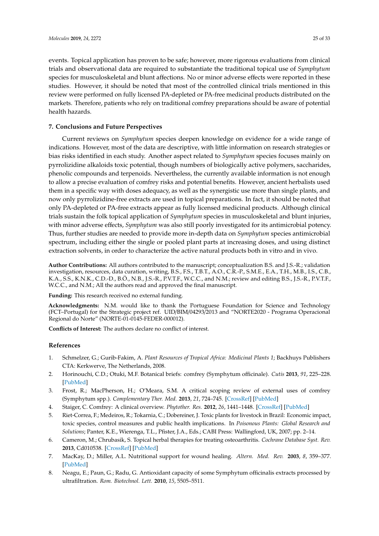events. Topical application has proven to be safe; however, more rigorous evaluations from clinical trials and observational data are required to substantiate the traditional topical use of *Symphytum* species for musculoskeletal and blunt affections. No or minor adverse effects were reported in these studies. However, it should be noted that most of the controlled clinical trials mentioned in this review were performed on fully licensed PA-depleted or PA-free medicinal products distributed on the markets. Therefore, patients who rely on traditional comfrey preparations should be aware of potential health hazards.

# **7. Conclusions and Future Perspectives**

Current reviews on *Symphytum* species deepen knowledge on evidence for a wide range of indications. However, most of the data are descriptive, with little information on research strategies or bias risks identified in each study. Another aspect related to *Symphytum* species focuses mainly on pyrrolizidine alkaloids toxic potential, though numbers of biologically active polymers, saccharides, phenolic compounds and terpenoids. Nevertheless, the currently available information is not enough to allow a precise evaluation of comfrey risks and potential benefits. However, ancient herbalists used them in a specific way with doses adequacy, as well as the synergistic use more than single plants, and now only pyrrolizidine-free extracts are used in topical preparations. In fact, it should be noted that only PA-depleted or PA-free extracts appear as fully licensed medicinal products. Although clinical trials sustain the folk topical application of *Symphytum* species in musculoskeletal and blunt injuries, with minor adverse effects, *Symphytum* was also still poorly investigated for its antimicrobial potency. Thus, further studies are needed to provide more in-depth data on *Symphytum* species antimicrobial spectrum, including either the single or pooled plant parts at increasing doses, and using distinct extraction solvents, in order to characterize the active natural products both in vitro and in vivo.

**Author Contributions:** All authors contributed to the manuscript; conceptualization B.S. and J.S.-R.; validation investigation, resources, data curation, writing, B.S., F.S., T.B.T., A.O., C.R.-P., S.M.E., E.A., T.H., M.B., I.S., C.B., K.A., S.S., K.N.K., C.D.-D., B.Ö., N.B., J.S.-R., P.V.T.F., W.C.C., and N.M.; review and editing B.S., J.S.-R., P.V.T.F., W.C.C., and N.M.; All the authors read and approved the final manuscript.

**Funding:** This research received no external funding.

**Acknowledgments:** N.M. would like to thank the Portuguese Foundation for Science and Technology (FCT–Portugal) for the Strategic project ref. UID/BIM/04293/2013 and "NORTE2020 - Programa Operacional Regional do Norte" (NORTE-01-0145-FEDER-000012).

**Conflicts of Interest:** The authors declare no conflict of interest.

# **References**

- <span id="page-24-0"></span>1. Schmelzer, G.; Gurib-Fakim, A. *Plant Resources of Tropical Africa: Medicinal Plants 1*; Backhuys Publishers CTA: Kerkwerve, The Netherlands, 2008.
- <span id="page-24-1"></span>2. Horinouchi, C.D.; Otuki, M.F. Botanical briefs: comfrey (Symphytum officinale). *Cutis* **2013**, *91*, 225–228. [\[PubMed\]](http://www.ncbi.nlm.nih.gov/pubmed/23772427)
- <span id="page-24-2"></span>3. Frost, R.; MacPherson, H.; O'Meara, S.M. A critical scoping review of external uses of comfrey (Symphytum spp.). *Complementary Ther. Med.* **2013**, *21*, 724–745. [\[CrossRef\]](http://dx.doi.org/10.1016/j.ctim.2013.09.009) [\[PubMed\]](http://www.ncbi.nlm.nih.gov/pubmed/24280482)
- <span id="page-24-3"></span>4. Staiger, C. Comfrey: A clinical overview. *Phytother. Res.* **2012**, *26*, 1441–1448. [\[CrossRef\]](http://dx.doi.org/10.1002/ptr.4612) [\[PubMed\]](http://www.ncbi.nlm.nih.gov/pubmed/22359388)
- <span id="page-24-4"></span>5. Riet-Correa, F.; Medeiros, R.; Tokarnia, C.; Dobereiner, J. Toxic plants for livestock in Brazil: Economic impact, toxic species, control measures and public health implications. In *Poisonous Plants: Global Research and Solutions*; Panter, K.E., Wierenga, T.L., Pfister, J.A., Eds.; CABI Press: Wallingford, UK, 2007; pp. 2–14.
- <span id="page-24-5"></span>6. Cameron, M.; Chrubasik, S. Topical herbal therapies for treating osteoarthritis. *Cochrane Database Syst. Rev.* **2013**, Cd010538. [\[CrossRef\]](http://dx.doi.org/10.1002/14651858.CD010538) [\[PubMed\]](http://www.ncbi.nlm.nih.gov/pubmed/23728701)
- <span id="page-24-6"></span>7. MacKay, D.; Miller, A.L. Nutritional support for wound healing. *Altern. Med. Rev.* **2003**, *8*, 359–377. [\[PubMed\]](http://www.ncbi.nlm.nih.gov/pubmed/14653765)
- <span id="page-24-7"></span>8. Neagu, E.; Paun, G.; Radu, G. Antioxidant capacity of some Symphytum officinalis extracts processed by ultrafiltration. *Rom. Biotechnol. Lett.* **2010**, *15*, 5505–5511.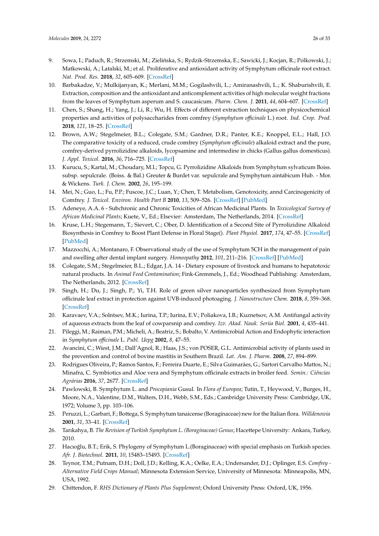- <span id="page-25-0"></span>9. Sowa, I.; Paduch, R.; Strzemski, M.; Zielińska, S.; Rydzik-Strzemska, E.; Sawicki, J.; Kocjan, R.; Polkowski, J.; Matkowski, A.; Latalski, M.; et al. Proliferative and antioxidant activity of Symphytum officinale root extract. *Nat. Prod. Res.* **2018**, *32*, 605–609. [\[CrossRef\]](http://dx.doi.org/10.1080/14786419.2017.1326492)
- <span id="page-25-1"></span>10. Barbakadze, V.; Mulkijanyan, K.; Merlani, M.M.; Gogilashvili, L.; Amiranashvili, L.; K. Shaburishvili, E. Extraction, composition and the antioxidant and anticomplement activities of high molecular weight fractions from the leaves of Symphytum asperum and S. caucasicum. *Pharm. Chem. J.* **2011**, *44*, 604–607. [\[CrossRef\]](http://dx.doi.org/10.1007/s11094-011-0527-9)
- <span id="page-25-2"></span>11. Chen, S.; Shang, H.; Yang, J.; Li, R.; Wu, H. Effects of different extraction techniques on physicochemical properties and activities of polysaccharides from comfrey (*Symphytum o*ffi*cinale* L.) root. *Ind. Crop. Prod.* **2018**, *121*, 18–25. [\[CrossRef\]](http://dx.doi.org/10.1016/j.indcrop.2018.04.063)
- <span id="page-25-3"></span>12. Brown, A.W.; Stegelmeier, B.L.; Colegate, S.M.; Gardner, D.R.; Panter, K.E.; Knoppel, E.L.; Hall, J.O. The comparative toxicity of a reduced, crude comfrey (*Symphytum o*ffi*cinale*) alkaloid extract and the pure, comfrey-derived pyrrolizidine alkaloids, lycopsamine and intermedine in chicks (Gallus gallus domesticus). *J. Appl. Toxicol.* **2016**, *36*, 716–725. [\[CrossRef\]](http://dx.doi.org/10.1002/jat.3205)
- 13. Kurucu, S.; Kartal, M.; Choudary, M.I.; Topcu, G. Pyrrolizidine Alkaloids from Symphytum sylvaticum Boiss. subsp. sepulcrale. (Boiss. & Bal.) Greuter & Burdet var. sepulcrale and Symphytum aintabicum Hub. - Mor. & Wickens. *Turk. J. Chem.* **2002**, *26*, 195–199.
- 14. Mei, N.; Guo, L.; Fu, P.P.; Fuscoe, J.C.; Luan, Y.; Chen, T. Metabolism, Genotoxicity, annd Carcinogenicity of Comfrey. *J. Toxicol. Environ. Health Part B* **2010**, *13*, 509–526. [\[CrossRef\]](http://dx.doi.org/10.1080/10937404.2010.509013) [\[PubMed\]](http://www.ncbi.nlm.nih.gov/pubmed/21170807)
- 15. Adeneye, A.A. 6 Subchronic and Chronic Toxicities of African Medicinal Plants. In *Toxicological Survey of African Medicinal Plants*; Kuete, V., Ed.; Elsevier: Amsterdam, The Netherlands, 2014. [\[CrossRef\]](http://dx.doi.org/10.1016/B978-0-12-800018-2.00006-6pp.99-133)
- <span id="page-25-4"></span>16. Kruse, L.H.; Stegemann, T.; Sievert, C.; Ober, D. Identification of a Second Site of Pyrrolizidine Alkaloid Biosynthesis in Comfrey to Boost Plant Defense in Floral Stage(). *Plant Physiol.* **2017**, *174*, 47–55. [\[CrossRef\]](http://dx.doi.org/10.1104/pp.17.00265) [\[PubMed\]](http://www.ncbi.nlm.nih.gov/pubmed/28275146)
- <span id="page-25-5"></span>17. Mazzocchi, A.; Montanaro, F. Observational study of the use of Symphytum 5CH in the management of pain and swelling after dental implant surgery. *Homeopathy* **2012**, *101*, 211–216. [\[CrossRef\]](http://dx.doi.org/10.1016/j.homp.2012.07.002) [\[PubMed\]](http://www.ncbi.nlm.nih.gov/pubmed/23089216)
- <span id="page-25-6"></span>18. Colegate, S.M.; Stegelmeier, B.L.; Edgar, J.A. 14 - Dietary exposure of livestock and humans to hepatotoxic natural products. In *Animal Feed Contamination*; Fink-Gremmels, J., Ed.; Woodhead Publishing: Amsterdam, The Netherlands, 2012. [\[CrossRef\]](http://dx.doi.org/10.1533/9780857093615.3.352pp.352-382)
- <span id="page-25-7"></span>19. Singh, H.; Du, J.; Singh, P.; Yi, T.H. Role of green silver nanoparticles synthesized from Symphytum officinale leaf extract in protection against UVB-induced photoaging. *J. Nanostructure Chem.* **2018**, *8*, 359–368. [\[CrossRef\]](http://dx.doi.org/10.1007/s40097-018-0281-6)
- <span id="page-25-8"></span>20. Karavaev, V.A.; Solntsev, M.K.; Iurina, T.P.; Iurina, E.V.; Poliakova, I.B.; Kuznetsov, A.M. Antifungal activity of aqueous extracts from the leaf of cowparsnip and comfrey. *Izv. Akad. Nauk. Seriia Biol.* **2001**, *4*, 435–441.
- <span id="page-25-9"></span>21. Pileggi, M.; Raiman, P.M.; Micheli, A.; Beatriz, S.; Bobalto, V. Antimicrobial Action and Endophytic interaction in *Symphytum o*ffi*cinale* L. *Publ. Uepg* **2002**, *8*, 47–55.
- <span id="page-25-10"></span>22. Avancini, C.; Wiest, J.M.; Dall'Agnol, R.; Haas, J.S.; von POSER, G.L. Antimicrobial activity of plants used in the prevention and control of bovine mastitis in Southern Brazil. *Lat. Am. J. Pharm.* **2008**, *27*, 894–899.
- <span id="page-25-11"></span>23. Rodrigues Oliveira, P.; Ramos Santos, F.; Ferreira Duarte, E.; Silva Guimarães, G.; Sartori Carvalho Mattos, N.; Minafra, C. Symbiotics and Aloe vera and Symphytum officinale extracts in broiler feed. *Semin.: Ciências Agrárias* **2016**, *37*, 2677. [\[CrossRef\]](http://dx.doi.org/10.5433/1679-0359.2016v37n4Supl1p2677)
- <span id="page-25-12"></span>24. Pawlowski, B. Symphytum L. and *Procopiania* Gusul. In *Flora of Europea*; Tutin, T., Heywood, V., Burges, H., Moore, N.A., Valentine, D.M., Walters, D.H., Webb, S.M., Eds.; Cambridge University Press: Cambridge, UK, 1972; Volume 3, pp. 103–106.
- <span id="page-25-13"></span>25. Peruzzi, L.; Garbari, F.; Bottega, S. Symphytum tanaicense (Boraginaceae) new for the Italian flora. *Willdenowia* **2001**, *31*, 33–41. [\[CrossRef\]](http://dx.doi.org/10.3372/wi.31.31102)
- <span id="page-25-14"></span>26. Tarıkahya, B. *The Revision of Turkish Symphytum L. (Boraginaceae) Genus*; Hacettepe University: Ankara, Turkey, 2010.
- <span id="page-25-15"></span>27. Hacıoğlu, B.T.; Erik, S. Phylogeny of Symphytum L.(Boraginaceae) with special emphasis on Turkish species. *Afr. J. Biotechnol.* **2011**, *10*, 15483–15493. [\[CrossRef\]](http://dx.doi.org/10.5897/AJB11.1094)
- <span id="page-25-16"></span>28. Teynor, T.M.; Putnam, D.H.; Doll, J.D.; Kelling, K.A.; Oelke, E.A.; Undersander, D.J.; Oplinger, E.S. *Comfrey - Alternative Field Crops Manual*; Minnesota Extension Service, University of Minnesota: Minneapolis, MN, USA, 1992.
- <span id="page-25-17"></span>29. Chittendon, F. *RHS Dictionary of Plants Plus Supplement*; Oxford University Press: Oxford, UK, 1956.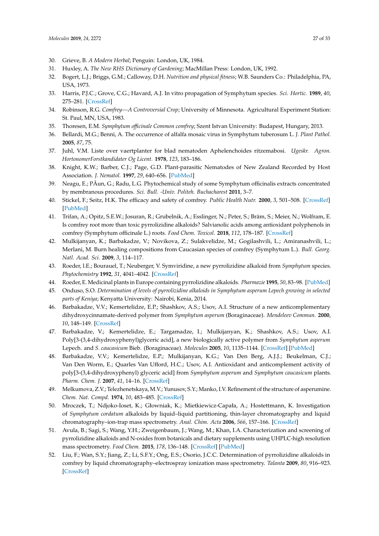- <span id="page-26-22"></span><span id="page-26-21"></span><span id="page-26-0"></span>30. Grieve, B. *A Modern Herbal*; Penguin: London, UK, 1984.
- <span id="page-26-1"></span>31. Huxley, A. *The New RHS Dictionary of Gardening*; MacMillan Press: London, UK, 1992.
- <span id="page-26-2"></span>32. Bogert, L.J.; Briggs, G.M.; Calloway, D.H. *Nutrition and physical fitness*; W.B. Saunders Co.: Philadelphia, PA, USA, 1973.
- <span id="page-26-3"></span>33. Harris, P.J.C.; Grove, C.G.; Havard, A.J. In vitro propagation of Symphytum species. *Sci. Hortic.* **1989**, *40*, 275–281. [\[CrossRef\]](http://dx.doi.org/10.1016/0304-4238(89)90101-5)
- <span id="page-26-13"></span><span id="page-26-4"></span>34. Robinson, R.G. *Comfrey—A Controversial Crop*; University of Minnesota. Agricultural Experiment Station: St. Paul, MN, USA, 1983.
- <span id="page-26-5"></span>35. Thoresen, E.M. *Symphytum o*ffi*cinale Common comfrey*; Szent Istvan University: Budapest, Hungary, 2013.
- <span id="page-26-6"></span>36. Bellardi, M.G.; Benni, A. The occurrence of alfalfa mosaic virus in Symphytum tuberosum L. *J. Plant Pathol.* **2005**, *87*, 75.
- <span id="page-26-14"></span><span id="page-26-7"></span>37. Juhl, V.M. Liste over vaertplanter for blad nematoden Aphelenchoides ritzemabosi. *Ugeskr. Agron. HortonomerForstkandidater Og Licent.* **1978**, *123*, 183–186.
- <span id="page-26-15"></span><span id="page-26-8"></span>38. Knight, K.W.; Barber, C.J.; Page, G.D. Plant-parasitic Nematodes of New Zealand Recorded by Host Association. *J. Nematol.* **1997**, *29*, 640–656. [\[PubMed\]](http://www.ncbi.nlm.nih.gov/pubmed/19274264)
- <span id="page-26-9"></span>39. Neagu, E.; PĂun, G.; Radu, L.G. Phytochemical study of some Symphytum officinalis extracts concentrated by membranous procedures. *Sci. Bull. -Univ. Politeh. Buchacharest* **2011**, 3–7.
- <span id="page-26-16"></span><span id="page-26-10"></span>40. Stickel, F.; Seitz, H.K. The efficacy and safety of comfrey. *Public Health Nutr.* **2000**, *3*, 501–508. [\[CrossRef\]](http://dx.doi.org/10.1017/S1368980000000586) [\[PubMed\]](http://www.ncbi.nlm.nih.gov/pubmed/11276298)
- <span id="page-26-11"></span>41. Trifan, A.; Opitz, S.E.W.; Josuran, R.; Grubelnik, A.; Esslinger, N.; Peter, S.; Bräm, S.; Meier, N.; Wolfram, E. Is comfrey root more than toxic pyrrolizidine alkaloids? Salvianolic acids among antioxidant polyphenols in comfrey (Symphytum officinale L.) roots. *Food Chem. Toxicol.* **2018**, *112*, 178–187. [\[CrossRef\]](http://dx.doi.org/10.1016/j.fct.2017.12.051)
- <span id="page-26-18"></span><span id="page-26-17"></span><span id="page-26-12"></span>42. Mulkijanyan, K.; Barbakadze, V.; Novikova, Z.; Sulakvelidze, M.; Gogilashvili, L.; Amiranashvili, L.; Merlani, M. Burn healing compositions from Caucasian species of comfrey (Symphytum L.). *Bull. Georg. Natl. Acad. Sci.* **2009**, *3*, 114–117.
- <span id="page-26-24"></span><span id="page-26-19"></span>43. Roeder, l.E.; Bourauel, T.; Neuberger, V. Symviridine, a new pyrrolizidine alkaloid from *Symphytum* species. *Phytochemistry* **1992**, *31*, 4041–4042. [\[CrossRef\]](http://dx.doi.org/10.1016/S0031-9422(00)97585-X)
- <span id="page-26-25"></span>44. Roeder, E. Medicinal plants in Europe containing pyrrolizidine alkaloids. *Pharmazie* **1995**, *50*, 83–98. [\[PubMed\]](http://www.ncbi.nlm.nih.gov/pubmed/7700976)
- <span id="page-26-23"></span><span id="page-26-20"></span>45. Onduso, S.O. *Determination of levels of pyrrolizidine alkaloids in Symphytum asperum Lepech growing in selected parts of Keniya*; Kenyatta University: Nairobi, Kenia, 2014.
- <span id="page-26-30"></span>46. Barbakadze, V.V.; Kemertelidze, E.P.; Shashkov, A.S.; Usov, A.I. Structure of a new anticomplementary dihydroxycinnamate-derived polymer from *Symphytum asperum* (Boraginaceae). *Mendeleev Commun.* **2000**, *10*, 148–149. [\[CrossRef\]](http://dx.doi.org/10.1070/MC2000v010n04ABEH001295)
- <span id="page-26-31"></span>47. Barbakadze, V.; Kemertelidze, E.; Targamadze, I.; Mulkijanyan, K.; Shashkov, A.S.; Usov, A.I. Poly[3-(3,4-dihydroxyphenyl)glyceric acid], a new biologically active polymer from *Symphytum asperum* Lepech. and *S. caucasicum* Bieb. (Boraginaceae). *Molecules* **2005**, *10*, 1135–1144. [\[CrossRef\]](http://dx.doi.org/10.3390/10091135) [\[PubMed\]](http://www.ncbi.nlm.nih.gov/pubmed/18007379)
- <span id="page-26-32"></span>48. Barbakadze, V.V.; Kemertelidze, E.P.; Mulkijanyan, K.G.; Van Den Berg, A.J.J.; Beukelman, C.J.; Van Den Worm, E.; Quarles Van Ufford, H.C.; Usov, A.I. Antioxidant and anticomplement activity of poly[3-(3,4-dihydroxyphenyl) glyceric acid] from *Symphytum asperum* and *Symphytum caucasicum* plants. *Pharm. Chem. J.* **2007**, *41*, 14–16. [\[CrossRef\]](http://dx.doi.org/10.1007/s11094-007-0004-7)
- <span id="page-26-26"></span>49. Melkumova, Z.V.; Telezhenetskaya, M.V.; Yunusov, S.Y.; Manko, I.V. Refinement of the structure of asperumine. *Chem. Nat. Compd.* **1974**, *10*, 483–485. [\[CrossRef\]](http://dx.doi.org/10.1007/BF00563814)
- <span id="page-26-27"></span>50. Mroczek, T.; Ndjoko-Ioset, K.; Głowniak, K.; Mietkiewicz-Capała, A.; Hostettmann, K. Investigation of *Symphytum cordatum* alkaloids by liquid–liquid partitioning, thin-layer chromatography and liquid chromatography–ion-trap mass spectrometry. *Anal. Chim. Acta* **2006**, *566*, 157–166. [\[CrossRef\]](http://dx.doi.org/10.1016/j.aca.2006.03.016)
- <span id="page-26-28"></span>51. Avula, B.; Sagi, S.; Wang, Y.H.; Zweigenbaum, J.; Wang, M.; Khan, I.A. Characterization and screening of pyrrolizidine alkaloids and N-oxides from botanicals and dietary supplements using UHPLC-high resolution mass spectrometry. *Food Chem.* **2015**, *178*, 136–148. [\[CrossRef\]](http://dx.doi.org/10.1016/j.foodchem.2015.01.053) [\[PubMed\]](http://www.ncbi.nlm.nih.gov/pubmed/25704694)
- <span id="page-26-29"></span>52. Liu, F.; Wan, S.Y.; Jiang, Z.; Li, S.F.Y.; Ong, E.S.; Osorio, J.C.C. Determination of pyrrolizidine alkaloids in comfrey by liquid chromatography–electrospray ionization mass spectrometry. *Talanta* **2009**, *80*, 916–923. [\[CrossRef\]](http://dx.doi.org/10.1016/j.talanta.2009.08.020)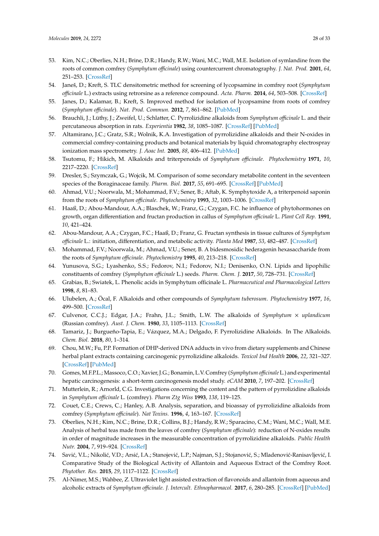- <span id="page-27-9"></span><span id="page-27-8"></span><span id="page-27-7"></span><span id="page-27-6"></span><span id="page-27-5"></span><span id="page-27-4"></span><span id="page-27-3"></span><span id="page-27-2"></span><span id="page-27-1"></span><span id="page-27-0"></span>53. Kim, N.C.; Oberlies, N.H.; Brine, D.R.; Handy, R.W.; Wani, M.C.; Wall, M.E. Isolation of symlandine from the roots of common comfrey (*Symphytum o*ffi*cinale*) using countercurrent chromatography. *J. Nat. Prod.* **2001**, *64*, 251–253. [\[CrossRef\]](http://dx.doi.org/10.1021/np0004653)
- <span id="page-27-10"></span>54. Janeš, D.; Kreft, S. TLC densitometric method for screening of lycopsamine in comfrey root (*Symphytum o*ffi*cinale* L.) extracts using retrorsine as a reference compound. *Acta. Pharm.* **2014**, *64*, 503–508. [\[CrossRef\]](http://dx.doi.org/10.2478/acph-2014-0031)
- <span id="page-27-11"></span>55. Janes, D.; Kalamar, B.; Kreft, S. Improved method for isolation of lycopsamine from roots of comfrey (*Symphytum o*ffi*cinale*). *Nat. Prod. Commun.* **2012**, *7*, 861–862. [\[PubMed\]](http://www.ncbi.nlm.nih.gov/pubmed/22908565)
- <span id="page-27-12"></span>56. Brauchli, J.; Lüthy, J.; Zweifel, U.; Schlatter, C. Pyrrolizidine alkaloids from *Symphytum o*ffi*cinale* L. and their percutaneous absorption in rats. *Experientia* **1982**, *38*, 1085–1087. [\[CrossRef\]](http://dx.doi.org/10.1007/BF01955382) [\[PubMed\]](http://www.ncbi.nlm.nih.gov/pubmed/7128756)
- <span id="page-27-19"></span><span id="page-27-13"></span>57. Altamirano, J.C.; Gratz, S.R.; Wolnik, K.A. Investigation of pyrrolizidine alkaloids and their N-oxides in commercial comfrey-containing products and botanical materials by liquid chromatography electrospray ionization mass spectrometry. *J. Aoac Int.* **2005**, *88*, 406–412. [\[PubMed\]](http://www.ncbi.nlm.nih.gov/pubmed/15859063)
- <span id="page-27-24"></span><span id="page-27-14"></span>58. Tsutomu, F.; Hikich, M. Alkaloids and triterpenoids of *Symphytum o*ffi*cinale*. *Phytochemistry* **1971**, *10*, 2217–2220. [\[CrossRef\]](http://dx.doi.org/10.1016/S0031-9422(00)97225-X)
- <span id="page-27-25"></span>59. Dresler, S.; Szymczak, G.; Wojcik, M. Comparison of some secondary metabolite content in the seventeen species of the Boraginaceae family. *Pharm. Biol.* **2017**, *55*, 691–695. [\[CrossRef\]](http://dx.doi.org/10.1080/13880209.2016.1265986) [\[PubMed\]](http://www.ncbi.nlm.nih.gov/pubmed/28140740)
- <span id="page-27-31"></span>60. Ahmad, V.U.; Noorwala, M.; Mohammad, F.V.; Sener, B.; Aftab, K. Symphytoxide A, a triterpenoid saponin from the roots of *Symphytum o*ffi*cinale*. *Phytochemistry* **1993**, *32*, 1003–1006. [\[CrossRef\]](http://dx.doi.org/10.1016/0031-9422(93)85244-L)
- 61. Haaß, D.; Abou-Mandour, A.A.; Blaschek, W.; Franz, G.; Czygan, F.C. he influence of phytohormones on growth, organ differentiation and fructan production in callus of *Symphytum o*ffi*cinale* L. *Plant Cell Rep.* **1991**, *10*, 421–424.
- <span id="page-27-30"></span>62. Abou-Mandour, A.A.; Czygan, F.C.; Haaß, D.; Franz, G. Fructan synthesis in tissue cultures of *Symphytum o*ffi*cinale* L.: initiation, differentiation, and metabolic activity. *Planta Med* **1987**, *53*, 482–487. [\[CrossRef\]](http://dx.doi.org/10.1055/s-2006-962778)
- <span id="page-27-29"></span>63. Mohammad, F.V.; Noorwala, M.; Ahmad, V.U.; Sener, B. A bidesmosidic hederagenin hexasaccharide from the roots of *Symphytum o*ffi*cinale*. *Phytochemistry* **1995**, *40*, 213–218. [\[CrossRef\]](http://dx.doi.org/10.1016/0031-9422(95)00246-4)
- <span id="page-27-32"></span>64. Yunusova, S.G.; Lyashenko, S.S.; Fedorov, N.I.; Fedorov, N.I.; Denisenko, O.N. Lipids and lipophilic constituents of comfrey (*Symphytum o*ffi*cinale* L.) seeds. *Pharm. Chem. J.* **2017**, *50*, 728–731. [\[CrossRef\]](http://dx.doi.org/10.1007/s11094-017-1521-7)
- <span id="page-27-28"></span>65. Grabias, B.; Swiatek, L. Phenolic acids in Symphytum officinale L. *Pharmaceutical and Pharmacological Letters* **1998**, *8*, 81–83.
- <span id="page-27-18"></span>66. Ulubelen, A.; Öcal, F. Alkaloids and other compounds of *Symphytum tuberosum*. *Phytochemistry* **1977**, *16*, 499–500. [\[CrossRef\]](http://dx.doi.org/10.1016/S0031-9422(00)94343-7)
- <span id="page-27-20"></span>67. Culvenor, C.C.J.; Edgar, J.A.; Frahn, J.L.; Smith, L.W. The alkaloids of *Symphytum* × *uplandicum* (Russian comfrey). *Aust. J. Chem.* **1980**, *33*, 1105–1113. [\[CrossRef\]](http://dx.doi.org/10.1071/CH9801105)
- <span id="page-27-15"></span>68. Tamariz, J.; Burgueño-Tapia, E.; Vázquez, M.A.; Delgado, F. Pyrrolizidine Alkaloids. In The Alkaloids. *Chem. Biol.* **2018**, *80*, 1–314.
- <span id="page-27-16"></span>69. Chou, M.W.; Fu, P.P. Formation of DHP-derived DNA adducts in vivo from dietary supplements and Chinese herbal plant extracts containing carcinogenic pyrrolizidine alkaloids. *Toxicol Ind Health* **2006**, *22*, 321–327. [\[CrossRef\]](http://dx.doi.org/10.1177/0748233706071765) [\[PubMed\]](http://www.ncbi.nlm.nih.gov/pubmed/17120530)
- <span id="page-27-17"></span>70. Gomes,M.F.P.L.; Massoco, C.O.; Xavier, J.G.; Bonamin, L.V. Comfrey (*Symphytum o*ffi*cinale* L.) and experimental hepatic carcinogenesis: a short-term carcinogenesis model study. *eCAM* **2010**, *7*, 197–202. [\[CrossRef\]](http://dx.doi.org/10.1093/ecam/nem172)
- <span id="page-27-21"></span>71. Mutterlein, R.; Arnorld, C.G. Investigations concerning the content and the pattern of pyrrolizidine alkaloids in *Symphytum o*ffi*cinale* L. (comfrey). *Pharm Ztg Wiss* **1993**, *138*, 119–125.
- <span id="page-27-22"></span>72. Couet, C.E.; Crews, C.; Hanley, A.B. Analysis, separation, and bioassay of pyrrolizidine alkaloids from comfrey (*Symphytum o*ffi*cinale*). *Nat Toxins.* **1996**, *4*, 163–167. [\[CrossRef\]](http://dx.doi.org/10.1002/19960404NT3)
- <span id="page-27-23"></span>73. Oberlies, N.H.; Kim, N.C.; Brine, D.R.; Collins, B.J.; Handy, R.W.; Sparacino, C.M.; Wani, M.C.; Wall, M.E. Analysis of herbal teas made from the leaves of comfrey (*Symphytum o*ffi*cinale*): reduction of N-oxides results in order of magnitude increases in the measurable concentration of pyrrolizidine alkaloids. *Public Health Nutr.* **2004**, *7*, 919–924. [\[CrossRef\]](http://dx.doi.org/10.1079/PHN2004624)
- <span id="page-27-26"></span>74. Savić, V.L.; Nikolić, V.D.; Arsić, I.A.; Stanojević, L.P.; Najman, S.J.; Stojanović, S.; Mladenović-Ranisavljević, I. Comparative Study of the Biological Activity of Allantoin and Aqueous Extract of the Comfrey Root. *Phytother. Res.* **2015**, *29*, 1117–1122. [\[CrossRef\]](http://dx.doi.org/10.1002/ptr.5356)
- <span id="page-27-27"></span>75. Al-Nimer, M.S.; Wahbee, Z. Ultraviolet light assisted extraction of flavonoids and allantoin from aqueous and alcoholic extracts of *Symphytum o*ffi*cinale*. *J. Intercult. Ethnopharmacol.* **2017**, *6*, 280–285. [\[CrossRef\]](http://dx.doi.org/10.5455/jice.20170630092831) [\[PubMed\]](http://www.ncbi.nlm.nih.gov/pubmed/28894626)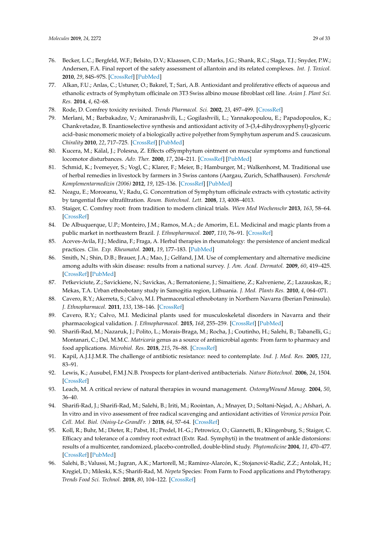- <span id="page-28-20"></span><span id="page-28-0"></span>76. Becker, L.C.; Bergfeld, W.F.; Belsito, D.V.; Klaassen, C.D.; Marks, J.G.; Shank, R.C.; Slaga, T.J.; Snyder, P.W.; Andersen, F.A. Final report of the safety assessment of allantoin and its related complexes. *Int. J. Toxicol.* **2010**, *29*, 84S–97S. [\[CrossRef\]](http://dx.doi.org/10.1177/1091581810362805) [\[PubMed\]](http://www.ncbi.nlm.nih.gov/pubmed/20448269)
- <span id="page-28-1"></span>77. Alkan, F.U.; Anlas, C.; Ustuner, O.; Bakırel, T.; Sari, A.B. Antioxidant and proliferative effects of aqueous and ethanolic extracts of Symphytum officinale on 3T3 Swiss albino mouse fibroblast cell line. *Asian J. Plant Sci. Res.* **2014**, *4*, 62–68.
- <span id="page-28-2"></span>78. Rode, D. Comfrey toxicity revisited. *Trends Pharmacol. Sci.* **2002**, *23*, 497–499. [\[CrossRef\]](http://dx.doi.org/10.1016/S0165-6147(02)02106-5)
- <span id="page-28-3"></span>79. Merlani, M.; Barbakadze, V.; Amiranashvili, L.; Gogilashvili, L.; Yannakopoulou, E.; Papadopoulos, K.; Chankvetadze, B. Enantioselective synthesis and antioxidant activity of 3-(3,4-dihydroxyphenyl)-glyceric acid–basic monomeric moiety of a biologically active polyether from Symphytum asperum and S. caucasicum. *Chirality* **2010**, *22*, 717–725. [\[CrossRef\]](http://dx.doi.org/10.1002/chir.20823) [\[PubMed\]](http://www.ncbi.nlm.nih.gov/pubmed/20143412)
- <span id="page-28-4"></span>80. Kucera, M.; Kálal, J.; Polesna, Z. Effects ofSymphytum ointment on muscular symptoms and functional locomotor disturbances. *Adv. Ther.* **2000**, *17*, 204–211. [\[CrossRef\]](http://dx.doi.org/10.1007/BF02850297) [\[PubMed\]](http://www.ncbi.nlm.nih.gov/pubmed/11185060)
- <span id="page-28-5"></span>81. Schmid, K.; Ivemeyer, S.; Vogl, C.; Klarer, F.; Meier, B.; Hamburger, M.; Walkenhorst, M. Traditional use of herbal remedies in livestock by farmers in 3 Swiss cantons (Aargau, Zurich, Schaffhausen). *Forschende Komplementarmedizin (2006)* **2012**, *19*, 125–136. [\[CrossRef\]](http://dx.doi.org/10.1159/000339336) [\[PubMed\]](http://www.ncbi.nlm.nih.gov/pubmed/22759727)
- <span id="page-28-6"></span>82. Neagu, E.; Moroeanu, V.; Radu, G. Concentration of Symphytum officinale extracts with cytostatic activity by tangential flow ultrafiltration. *Roum. Biotechnol. Lett.* **2008**, *13*, 4008–4013.
- <span id="page-28-7"></span>83. Staiger, C. Comfrey root: from tradition to modern clinical trials. *Wien Med Wochenschr* **2013**, *163*, 58–64. [\[CrossRef\]](http://dx.doi.org/10.1007/s10354-012-0162-4)
- <span id="page-28-8"></span>84. De Albuquerque, U.P.; Monteiro, J.M.; Ramos, M.A.; de Amorim, E.L. Medicinal and magic plants from a public market in northeastern Brazil. *J. Ethnopharmacol.* **2007**, *110*, 76–91. [\[CrossRef\]](http://dx.doi.org/10.1016/j.jep.2006.09.010)
- <span id="page-28-9"></span>85. Aceves-Avila, F.J.; Medina, F.; Fraga, A. Herbal therapies in rheumatology: the persistence of ancient medical practices. *Clin. Exp. Rheumatol.* **2001**, *19*, 177–183. [\[PubMed\]](http://www.ncbi.nlm.nih.gov/pubmed/11326480)
- <span id="page-28-19"></span><span id="page-28-10"></span>86. Smith, N.; Shin, D.B.; Brauer, J.A.; Mao, J.; Gelfand, J.M. Use of complementary and alternative medicine among adults with skin disease: results from a national survey. *J. Am. Acad. Dermatol.* **2009**, *60*, 419–425. [\[CrossRef\]](http://dx.doi.org/10.1016/j.jaad.2008.11.905) [\[PubMed\]](http://www.ncbi.nlm.nih.gov/pubmed/19157642)
- <span id="page-28-11"></span>87. Petkeviciute, Z.; Savickiene, N.; Savickas, A.; Bernatoniene, J.; Simaitiene, Z.; Kalveniene, Z.; Lazauskas, R.; Mekas, T.A. Urban ethnobotany study in Samogitia region, Lithuania. *J. Med. Plants Res.* **2010**, *4*, 064–071.
- <span id="page-28-12"></span>88. Cavero, R.Y.; Akerreta, S.; Calvo, M.I. Pharmaceutical ethnobotany in Northern Navarra (Iberian Peninsula). *J. Ethnopharmacol.* **2011**, *133*, 138–146. [\[CrossRef\]](http://dx.doi.org/10.1016/j.jep.2010.09.019)
- <span id="page-28-13"></span>89. Cavero, R.Y.; Calvo, M.I. Medicinal plants used for musculoskeletal disorders in Navarra and their pharmacological validation. *J. Ethnopharmacol.* **2015**, *168*, 255–259. [\[CrossRef\]](http://dx.doi.org/10.1016/j.jep.2015.03.078) [\[PubMed\]](http://www.ncbi.nlm.nih.gov/pubmed/25862964)
- <span id="page-28-14"></span>90. Sharifi-Rad, M.; Nazaruk, J.; Polito, L.; Morais-Braga, M.; Rocha, J.; Coutinho, H.; Salehi, B.; Tabanelli, G.; Montanari, C.; Del, M.M.C. *Matricaria* genus as a source of antimicrobial agents: From farm to pharmacy and food applications. *Microbiol. Res.* **2018**, *215*, 76–88. [\[CrossRef\]](http://dx.doi.org/10.1016/j.micres.2018.06.010)
- <span id="page-28-15"></span>91. Kapil, A.J.I.J.M.R. The challenge of antibiotic resistance: need to contemplate. *Ind. J. Med. Res.* **2005**, *121*, 83–91.
- 92. Lewis, K.; Ausubel, F.M.J.N.B. Prospects for plant-derived antibacterials. *Nature Biotechnol.* **2006**, *24*, 1504. [\[CrossRef\]](http://dx.doi.org/10.1038/nbt1206-1504)
- 93. Leach, M. A critical review of natural therapies in wound management. *Ostomy*/*Wound Manag.* **2004**, *50*, 36–40.
- <span id="page-28-16"></span>94. Sharifi-Rad, J.; Sharifi-Rad, M.; Salehi, B.; Iriti, M.; Roointan, A.; Mnayer, D.; Soltani-Nejad, A.; Afshari, A. In vitro and in vivo assessment of free radical scavenging and antioxidant activities of *Veronica persica* Poir. *Cell. Mol. Biol. (Noisy-Le-GrandFr. )* **2018**, *64*, 57–64. [\[CrossRef\]](http://dx.doi.org/10.14715/cmb/2018.64.8.9)
- <span id="page-28-17"></span>95. Koll, R.; Buhr, M.; Dieter, R.; Pabst, H.; Predel, H.-G.; Petrowicz, O.; Giannetti, B.; Klingenburg, S.; Staiger, C. Efficacy and tolerance of a comfrey root extract (Extr. Rad. Symphyti) in the treatment of ankle distorsions: results of a multicenter, randomized, placebo-controlled, double-blind study. *Phytomedicine* **2004**, *11*, 470–477. [\[CrossRef\]](http://dx.doi.org/10.1016/j.phymed.2004.02.001) [\[PubMed\]](http://www.ncbi.nlm.nih.gov/pubmed/15500257)
- <span id="page-28-18"></span>96. Salehi, B.; Valussi, M.; Jugran, A.K.; Martorell, M.; Ramírez-Alarcón, K.; Stojanović-Radić, Z.Z.; Antolak, H.; Kręgiel, D.; Mileski, K.S.; Sharifi-Rad, M. *Nepeta* Species: From Farm to Food applications and Phytotherapy. *Trends Food Sci. Technol.* **2018**, *80*, 104–122. [\[CrossRef\]](http://dx.doi.org/10.1016/j.tifs.2018.07.030)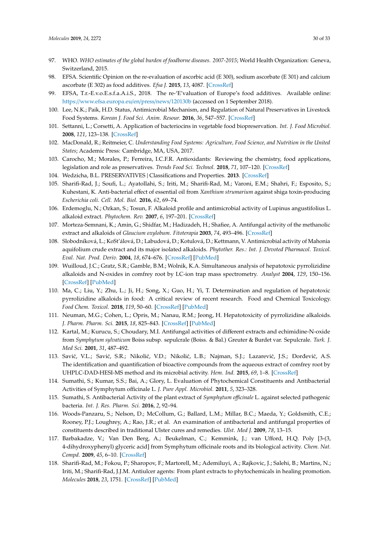- <span id="page-29-0"></span>97. WHO. *WHO estimates of the global burden of foodborne diseases. 2007-2015*; World Health Organization: Geneva, Switzerland, 2015.
- <span id="page-29-1"></span>98. EFSA. Scientific Opinion on the re-evaluation of ascorbic acid (E 300), sodium ascorbate (E 301) and calcium ascorbate (E 302) as food additives. *Efsa J.* **2015**, *13*, 4087. [\[CrossRef\]](http://dx.doi.org/10.2903/j.efsa.2015.4087)
- <span id="page-29-2"></span>99. EFSA, T.r.-E.v.o.E.s.f.a.A.i.S., 2018. The re-'E'valuation of Europe's food additives. Available online: https://[www.efsa.europa.eu](https://www.efsa.europa.eu/en/press/news/120130b)/en/press/news/120130b (accessed on 1 September 2018).
- <span id="page-29-3"></span>100. Lee, N.K.; Paik, H.D. Status, Antimicrobial Mechanism, and Regulation of Natural Preservatives in Livestock Food Systems. *Korean J. Food Sci. Anim. Resour.* **2016**, *36*, 547–557. [\[CrossRef\]](http://dx.doi.org/10.5851/kosfa.2016.36.4.547)
- <span id="page-29-4"></span>101. Settanni, L.; Corsetti, A. Application of bacteriocins in vegetable food biopreservation. *Int. J. Food Microbiol.* **2008**, *121*, 123–138. [\[CrossRef\]](http://dx.doi.org/10.1016/j.ijfoodmicro.2007.09.001)
- <span id="page-29-5"></span>102. MacDonald, R.; Reitmeier, C. *Understanding Food Systems: Agriculture, Food Science, and Nutrition in the United States*; Academic Press: Cambridge, MA, USA, 2017.
- <span id="page-29-6"></span>103. Carocho, M.; Morales, P.; Ferreira, I.C.F.R. Antioxidants: Reviewing the chemistry, food applications, legislation and role as preservatives. *Trends Food Sci. Technol.* **2018**, *71*, 107–120. [\[CrossRef\]](http://dx.doi.org/10.1016/j.tifs.2017.11.008)
- <span id="page-29-7"></span>104. Wedzicha, B.L. PRESERVATIVES | Classifications and Properties. **2013**. [\[CrossRef\]](http://dx.doi.org/10.1016/B0-12-227055-X/00969-X)
- <span id="page-29-8"></span>105. Sharifi-Rad, J.; Soufi, L.; Ayatollahi, S.; Iriti, M.; Sharifi-Rad, M.; Varoni, E.M.; Shahri, F.; Esposito, S.; Kuhestani, K. Anti-bacterial effect of essential oil from *Xanthium strumarium* against shiga toxin-producing *Escherichia coli*. *Cell. Mol. Biol.* **2016**, *62*, 69–74.
- <span id="page-29-9"></span>106. Erdemoglu, N.; Ozkan, S.; Tosun, F. Alkaloid profile and antimicrobial activity of Lupinus angustifolius L. alkaloid extract. *Phytochem. Rev.* **2007**, *6*, 197–201. [\[CrossRef\]](http://dx.doi.org/10.1007/s11101-006-9055-8)
- 107. Morteza-Semnani, K.; Amin, G.; Shidfar, M.; Hadizadeh, H.; Shafiee, A. Antifungal activity of the methanolic extract and alkaloids of *Glaucium oxylobum*. *Fitoterapia* **2003**, *74*, 493–496. [\[CrossRef\]](http://dx.doi.org/10.1016/S0367-326X(03)00113-8)
- <span id="page-29-10"></span>108. Slobodníková, L.; KoSt'álová, D.; Labudová, D.; Kotulová, D.; Kettmann, V. Antimicrobial activity of Mahonia aquifolium crude extract and its major isolated alkaloids. *Phytother. Res.: Int. J. Devoted Pharmacol. Toxicol. Eval. Nat. Prod. Deriv.* **2004**, *18*, 674–676. [\[CrossRef\]](http://dx.doi.org/10.1002/ptr.1517) [\[PubMed\]](http://www.ncbi.nlm.nih.gov/pubmed/15476315)
- <span id="page-29-11"></span>109. Wuilloud, J.C.; Gratz, S.R.; Gamble, B.M.; Wolnik, K.A. Simultaneous analysis of hepatotoxic pyrrolizidine alkaloids and N-oxides in comfrey root by LC-ion trap mass spectrometry. *Analyst* **2004**, *129*, 150–156. [\[CrossRef\]](http://dx.doi.org/10.1039/b311030c) [\[PubMed\]](http://www.ncbi.nlm.nih.gov/pubmed/14752559)
- <span id="page-29-12"></span>110. Ma, C.; Liu, Y.; Zhu, L.; Ji, H.; Song, X.; Guo, H.; Yi, T. Determination and regulation of hepatotoxic pyrrolizidine alkaloids in food: A critical review of recent research. Food and Chemical Toxicology. *Food Chem. Toxicol.* **2018**, *119*, 50–60. [\[CrossRef\]](http://dx.doi.org/10.1016/j.fct.2018.05.037) [\[PubMed\]](http://www.ncbi.nlm.nih.gov/pubmed/29772268)
- <span id="page-29-13"></span>111. Neuman, M.G.; Cohen, L.; Opris, M.; Nanau, R.M.; Jeong, H. Hepatotoxicity of pyrrolizidine alkaloids. *J. Pharm. Pharm. Sci.* **2015**, *18*, 825–843. [\[CrossRef\]](http://dx.doi.org/10.18433/J3BG7J) [\[PubMed\]](http://www.ncbi.nlm.nih.gov/pubmed/26626258)
- <span id="page-29-14"></span>112. Kartal, M.; Kurucu, S.; Choudary, M.I. Antifungal activities of different extracts and echimidine-N-oxide from *Symphytum sylvaticum* Boiss subsp. sepulcrale (Boiss. & Bal.) Greuter & Burdet var. Sepulcrale. *Turk. J. Med Sci.* **2001**, *31*, 487–492.
- <span id="page-29-15"></span>113. Savić, V.L.; Savić, S.R.; Nikolić, V.D.; Nikolić, L.B.; Najman, S.J.; Lazarević, J.S.; Đorđević, A.S. The identification and quantification of bioactive compounds from the aqueous extract of comfrey root by UHPLC-DAD-HESI-MS method and its microbial activity. *Hem. Ind.* **2015**, *69*, 1–8. [\[CrossRef\]](http://dx.doi.org/10.2298/HEMIND131202013S)
- <span id="page-29-16"></span>114. Sumathi, S.; Kumar, S.S.; Bai, A.; Glory, L. Evaluation of Phytochemical Constituents and Antibacterial Activities of Symphytum officinale L. *J. Pure Appl. Microbiol.* **2011**, *5*, 323–328.
- <span id="page-29-17"></span>115. Sumathi, S. Antibacterial Activity of the plant extract of *Symphytum o*ffi*cinale* L. against selected pathogenic bacteria. *Int. J. Res. Pharm. Sci.* **2016**, *2*, 92–94.
- <span id="page-29-18"></span>116. Woods-Panzaru, S.; Nelson, D.; McCollum, G.; Ballard, L.M.; Millar, B.C.; Maeda, Y.; Goldsmith, C.E.; Rooney, P.J.; Loughrey, A.; Rao, J.R.; et al. An examination of antibacterial and antifungal properties of constituents described in traditional Ulster cures and remedies. *Ulst. Med J.* **2009**, *78*, 13–15.
- <span id="page-29-19"></span>117. Barbakadze, V.; Van Den Berg, A.; Beukelman, C.; Kemmink, J.; van Ufford, H.Q. Poly [3-(3, 4-dihydroxyphenyl) glyceric acid] from Symphytum officinale roots and its biological activity. *Chem. Nat. Compd.* **2009**, *45*, 6–10. [\[CrossRef\]](http://dx.doi.org/10.1007/s10600-009-9221-5)
- <span id="page-29-20"></span>118. Sharifi-Rad, M.; Fokou, P.; Sharopov, F.; Martorell, M.; Ademiluyi, A.; Rajkovic, J.; Salehi, B.; Martins, N.; Iriti, M.; Sharifi-Rad, J.J.M. Antiulcer agents: From plant extracts to phytochemicals in healing promotion. *Molecules* **2018**, *23*, 1751. [\[CrossRef\]](http://dx.doi.org/10.3390/molecules23071751) [\[PubMed\]](http://www.ncbi.nlm.nih.gov/pubmed/30018251)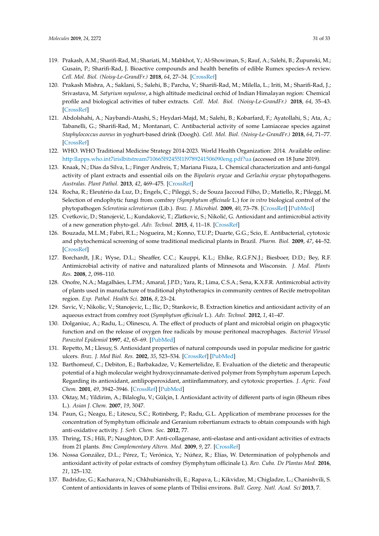- 119. Prakash, A.M.; Sharifi-Rad, M.; Shariati, M.; Mabkhot, Y.; Al-Showiman, S.; Rauf, A.; Salehi, B.; Župunski, M.; Gusain, P.; Sharifi-Rad, J. Bioactive compounds and health benefits of edible Rumex species-A review. *Cell. Mol. Biol. (Noisy-Le-GrandFr.)* **2018**, *64*, 27–34. [\[CrossRef\]](http://dx.doi.org/10.14715/cmb/2018.64.8.5)
- 120. Prakash Mishra, A.; Saklani, S.; Salehi, B.; Parcha, V.; Sharifi-Rad, M.; Milella, L.; Iriti, M.; Sharifi-Rad, J.; Srivastava, M. *Satyrium nepalense*, a high altitude medicinal orchid of Indian Himalayan region: Chemical profile and biological activities of tuber extracts. *Cell. Mol. Biol. (Noisy-Le-GrandFr.)* **2018**, *64*, 35–43. [\[CrossRef\]](http://dx.doi.org/10.14715/cmb/2018.64.8.6)
- <span id="page-30-0"></span>121. Abdolshahi, A.; Naybandi-Atashi, S.; Heydari-Majd, M.; Salehi, B.; Kobarfard, F.; Ayatollahi, S.; Ata, A.; Tabanelli, G.; Sharifi-Rad, M.; Montanari, C. Antibacterial activity of some Lamiaceae species against *Staphylococcus aureus* in yoghurt-based drink (Doogh). *Cell. Mol. Biol. (Noisy-Le-GrandFr.)* **2018**, *64*, 71–77. [\[CrossRef\]](http://dx.doi.org/10.14715/cmb/2018.64.8.11)
- <span id="page-30-1"></span>122. WHO. WHO Traditional Medicine Strategy 2014-2023. World Health Organization: 2014. Available online: <http:llapps.who.int7irislbitstream710665l92455l1l9789241506090eng.pdf?ua> (accessed on 18 June 2019).
- <span id="page-30-2"></span>123. Knaak, N.; Dias da Silva, L.; Finger Andreis, T.; Mariana Fiuza, L. Chemical characterization and anti-fungal activity of plant extracts and essential oils on the *Bipolaris oryzae* and *Gerlachia oryzae* phytopathogens. *Australas. Plant Pathol.* **2013**, *42*, 469–475. [\[CrossRef\]](http://dx.doi.org/10.1007/s13313-013-0220-4)
- <span id="page-30-3"></span>124. Rocha, R.; Eleutério da Luz, D.; Engels, C.; Pileggi, S.; de Souza Jaccoud Filho, D.; Matiello, R.; Pileggi, M. Selection of endophytic fungi from comfrey *(Symphytum o*ffi*cinale* L.) for *in vitro* biological control of the phytopathogen *Sclerotinia sclerotiorum* (Lib.). *Braz. J. Microbiol.* **2009**, *40*, 73–78. [\[CrossRef\]](http://dx.doi.org/10.1590/S1517-83822009000100011) [\[PubMed\]](http://www.ncbi.nlm.nih.gov/pubmed/24031320)
- <span id="page-30-4"></span>125. Cvetkovic, D.; Stanojević, L.; Kundaković, T.; Zlatkovic, S.; Nikolić, G. Antioxidant and antimicrobial activity of a new generation phyto-gel. *Adv. Technol.* **2015**, *4*, 11–18. [\[CrossRef\]](http://dx.doi.org/10.5937/savteh1502011C)
- <span id="page-30-5"></span>126. Bouzada, M.L.M.; Fabri, R.L.; Nogueira, M.; Konno, T.U.P.; Duarte, G.G.; Scio, E. Antibacterial, cytotoxic and phytochemical screening of some traditional medicinal plants in Brazil. *Pharm. Biol.* **2009**, *47*, 44–52. [\[CrossRef\]](http://dx.doi.org/10.1080/13880200802411771)
- <span id="page-30-6"></span>127. Borchardt, J.R.; Wyse, D.L.; Sheaffer, C.C.; Kauppi, K.L.; Ehlke, R.G.F.N.J.; Biesboer, D.D.; Bey, R.F. Antimicrobial activity of native and naturalized plants of Minnesota and Wisconsin. *J. Med. Plants Res.* **2008**, *2*, 098–110.
- <span id="page-30-7"></span>128. Onofre, N.A.; Magalhães, L.P.M.; Amaral, J.P.D.; Yara, R.; Lima, C.S.A.; Sena, K.X.F.R. Antimicrobial activity of plants used in manufacture of traditional phytotherapics in community centres of Recife metropolitan region. *Exp. Pathol. Health Sci.* **2016**, *8*, 23–24.
- <span id="page-30-8"></span>129. Savic, V.; Nikolic, V.; Stanojevic, L.; Ilic, D.; Stankovic, B. Extraction kinetics and antioxidant activity of an aqueous extract from comfrey root (*Symphytum o*ffi*cinale* L.). *Adv. Technol.* **2012**, *1*, 41–47.
- <span id="page-30-9"></span>130. Dolganiuc, A.; Radu, L.; Olinescu, A. The effect of products of plant and microbial origin on phagocytic function and on the release of oxygen free radicals by mouse peritoneal macrophages. *Bacteriol Virusol Parazitol Epidemiol* **1997**, *42*, 65–69. [\[PubMed\]](http://www.ncbi.nlm.nih.gov/pubmed/9235147)
- <span id="page-30-10"></span>131. Repetto, M.; Llesuy, S. Antioxidant properties of natural compounds used in popular medicine for gastric ulcers. *Braz. J. Med Biol. Res.* **2002**, *35*, 523–534. [\[CrossRef\]](http://dx.doi.org/10.1590/S0100-879X2002000500003) [\[PubMed\]](http://www.ncbi.nlm.nih.gov/pubmed/12011936)
- <span id="page-30-11"></span>132. Barthomeuf, C.; Debiton, E.; Barbakadze, V.; Kemertelidze, E. Evaluation of the dietetic and therapeutic potential of a high molecular weight hydroxycinnamate-derived polymer from Symphytum asperum Lepech. Regarding its antioxidant, antilipoperoxidant, antiinflammatory, and cytotoxic properties. *J. Agric. Food Chem.* **2001**, *49*, 3942–3946. [\[CrossRef\]](http://dx.doi.org/10.1021/jf010189d) [\[PubMed\]](http://www.ncbi.nlm.nih.gov/pubmed/11513693)
- <span id="page-30-12"></span>133. Oktay, M.; Yildirim, A.; Bilaloglu, V.; Gülçin, I. Antioxidant activity of different parts of isgin (Rheum ribes L.). *Asian J. Chem.* **2007**, *19*, 3047.
- <span id="page-30-13"></span>134. Paun, G.; Neagu, E.; Litescu, S.C.; Rotinberg, P.; Radu, G.L. Application of membrane processes for the concentration of Symphytum officinale and Geranium robertianum extracts to obtain compounds with high anti-oxidative activity. *J. Serb. Chem. Soc.* **2012**, 77.
- <span id="page-30-14"></span>135. Thring, T.S.; Hili, P.; Naughton, D.P. Anti-collagenase, anti-elastase and anti-oxidant activities of extracts from 21 plants. *Bmc Complementary Altern. Med.* **2009**, *9*, 27. [\[CrossRef\]](http://dx.doi.org/10.1186/1472-6882-9-27)
- <span id="page-30-15"></span>136. Nossa González, D.L.; Pérez, T.; Verónica, Y.; Núñez, R.; Elías, W. Determination of polyphenols and antioxidant activity of polar extracts of comfrey (Symphytum officinale L). *Rev. Cuba. De Plantas Med.* **2016**, *21*, 125–132.
- <span id="page-30-16"></span>137. Badridze, G.; Kacharava, N.; Chkhubianishvili, E.; Rapava, L.; Kikvidze, M.; Chigladze, L.; Chanishvili, S. Content of antioxidants in leaves of some plants of Tbilisi environs. *Bull. Georg. Natl. Acad. Sci* **2013**, 7.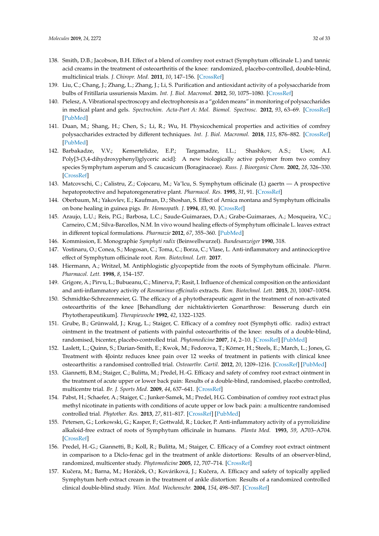- <span id="page-31-14"></span><span id="page-31-0"></span>138. Smith, D.B.; Jacobson, B.H. Effect of a blend of comfrey root extract (Symphytum officinale L.) and tannic acid creams in the treatment of osteoarthritis of the knee: randomized, placebo-controlled, double-blind, multiclinical trials. *J. Chiropr. Med.* **2011**, *10*, 147–156. [\[CrossRef\]](http://dx.doi.org/10.1016/j.jcm.2011.01.003)
- <span id="page-31-1"></span>139. Liu, C.; Chang, J.; Zhang, L.; Zhang, J.; Li, S. Purification and antioxidant activity of a polysaccharide from bulbs of Fritillaria ussuriensis Maxim. *Int. J. Biol. Macromol.* **2012**, *50*, 1075–1080. [\[CrossRef\]](http://dx.doi.org/10.1016/j.ijbiomac.2012.03.006)
- <span id="page-31-2"></span>140. Pielesz, A. Vibrational spectroscopy and electrophoresis as a "golden means" in monitoring of polysaccharides in medical plant and gels. *Spectrochim. Acta-Part A: Mol. Biomol. Spectrosc.* **2012**, *93*, 63–69. [\[CrossRef\]](http://dx.doi.org/10.1016/j.saa.2012.03.003) [\[PubMed\]](http://www.ncbi.nlm.nih.gov/pubmed/22465769)
- <span id="page-31-12"></span><span id="page-31-3"></span>141. Duan, M.; Shang, H.; Chen, S.; Li, R.; Wu, H. Physicochemical properties and activities of comfrey polysaccharides extracted by different techniques. *Int. J. Biol. Macromol.* **2018**, *115*, 876–882. [\[CrossRef\]](http://dx.doi.org/10.1016/j.ijbiomac.2018.04.188) [\[PubMed\]](http://www.ncbi.nlm.nih.gov/pubmed/29727640)
- <span id="page-31-13"></span><span id="page-31-4"></span>142. Barbakadze, V.V.; Kemertelidze, E.P.; Targamadze, I.L.; Shashkov, A.S.; Usov, A.I. Poly[3-(3,4-dihydroxyphenyl)glyceric acid]: A new biologically active polymer from two comfrey species Symphytum asperum and S. caucasicum (Boraginaceae). *Russ. J. Bioorganic Chem.* **2002**, *28*, 326–330. [\[CrossRef\]](http://dx.doi.org/10.1023/A:1019552110312)
- <span id="page-31-15"></span><span id="page-31-5"></span>143. Matcovschi, C.; Calistru, Z.; Cojocaru, M.; Vaˆlcu, S. Symphytum officinale (L) gaertn — A prospective hepatoprotective and hepatoregenerative plant. *Pharmacol. Res.* **1995**, *31*, 91. [\[CrossRef\]](http://dx.doi.org/10.1016/1043-6618(95)86625-6)
- <span id="page-31-6"></span>144. Oberbaum, M.; Yakovlev, E.; Kaufman, D.; Shoshan, S. Effect of Arnica montana and Symphytum officinalis on bone healing in guinea pigs. *Br. Homeopath. J.* **1994**, *83*, 90. [\[CrossRef\]](http://dx.doi.org/10.1016/S0007-0785(94)80017-0)
- <span id="page-31-7"></span>145. Araujo, L.U.; Reis, P.G.; Barbosa, L.C.; Saude-Guimaraes, D.A.; Grabe-Guimaraes, A.; Mosqueira, V.C.; Carneiro, C.M.; Silva-Barcellos, N.M. In vivo wound healing effects of Symphytum officinale L. leaves extract in different topical formulations. *Pharmazie* **2012**, *67*, 355–360. [\[PubMed\]](http://www.ncbi.nlm.nih.gov/pubmed/22570943)
- <span id="page-31-16"></span><span id="page-31-8"></span>146. Kommission, E. Monographie *Symphyti radix* (Beinwellwurzel). *Bundesanzeiger* **1990**, 318.
- <span id="page-31-9"></span>147. Vostinaru, O.; Conea, S.; Mogosan, C.; Toma, C.; Borza, C.; Vlase, L. Anti-inflammatory and antinociceptive effect of Symphytum officinale root. *Rom. Biotechnol. Lett.* **2017**.
- <span id="page-31-17"></span><span id="page-31-10"></span>148. Hiermann, A.; Writzel, M. Antiphlogistic glycopeptide from the roots of Symphytum officinale. *Pharm. Pharmacol. Lett.* **1998**, *8*, 154–157.
- <span id="page-31-18"></span><span id="page-31-11"></span>149. Grigore, A.; Pirvu, L.; Bubueanu, C.; Minerva, P.; Rasit, I. Influence of chemical composition on the antioxidant and anti-inflammatory activity of *Rosmarinus o*ffi*cinalis* extracts. *Rom. Biotechnol. Lett.* **2015**, *20*, 10047–10054.
- <span id="page-31-20"></span>150. Schmidtke-Schrezenmeier, G. The efficacy of a phytotherapeutic agent in the treatment of non-activated osteoarthritis of the knee [Behandlung der nichtaktivierten Gonarthrose: Besserung durch ein Phytotherapeutikum]. *Therapiewoche* **1992**, *42*, 1322–1325.
- <span id="page-31-21"></span><span id="page-31-19"></span>151. Grube, B.; Grünwald, J.; Krug, L.; Staiger, C. Efficacy of a comfrey root (Symphyti offic. radix) extract ointment in the treatment of patients with painful osteoarthritis of the knee: results of a double-blind, randomised, bicenter, placebo-controlled trial. *Phytomedicine* **2007**, *14*, 2–10. [\[CrossRef\]](http://dx.doi.org/10.1016/j.phymed.2006.11.006) [\[PubMed\]](http://www.ncbi.nlm.nih.gov/pubmed/17169543)
- <span id="page-31-22"></span>152. Laslett, L.; Quinn, S.; Darian-Smith, E.; Kwok, M.; Fedorova, T.; Körner, H.; Steels, E.; March, L.; Jones, G. Treatment with 4Jointz reduces knee pain over 12 weeks of treatment in patients with clinical knee osteoarthritis: a randomised controlled trial. *Osteoarthr. Cartil.* **2012**, *20*, 1209–1216. [\[CrossRef\]](http://dx.doi.org/10.1016/j.joca.2012.07.019) [\[PubMed\]](http://www.ncbi.nlm.nih.gov/pubmed/22863612)
- <span id="page-31-23"></span>153. Giannetti, B.M.; Staiger, C.; Bulitta, M.; Predel, H.-G. Efficacy and safety of comfrey root extract ointment in the treatment of acute upper or lower back pain: Results of a double-blind, randomised, placebo controlled, multicentre trial. *Br. J. Sports Med.* **2009**, *44*, 637–641. [\[CrossRef\]](http://dx.doi.org/10.1136/bjsm.2009.058677)
- <span id="page-31-24"></span>154. Pabst, H.; Schaefer, A.; Staiger, C.; Junker-Samek, M.; Predel, H.G. Combination of comfrey root extract plus methyl nicotinate in patients with conditions of acute upper or low back pain: a multicentre randomised controlled trial. *Phytother. Res.* **2013**, *27*, 811–817. [\[CrossRef\]](http://dx.doi.org/10.1002/ptr.4790) [\[PubMed\]](http://www.ncbi.nlm.nih.gov/pubmed/22887778)
- <span id="page-31-25"></span>155. Petersen, G.; Lorkowski, G.; Kasper, F.; Gottwald, R.; Lücker, P. Anti-inflammatory activity of a pyrrolizidine alkaloid-free extract of roots of Symphytum officinale in humans. *Planta Med.* **1993**, *59*, A703–A704. [\[CrossRef\]](http://dx.doi.org/10.1055/s-2006-960000)
- <span id="page-31-26"></span>156. Predel, H.-G.; Giannetti, B.; Koll, R.; Bulitta, M.; Staiger, C. Efficacy of a Comfrey root extract ointment in comparison to a Diclo-fenac gel in the treatment of ankle distortions: Results of an observer-blind, randomized, multicenter study. *Phytomedicine* **2005**, *12*, 707–714. [\[CrossRef\]](http://dx.doi.org/10.1016/j.phymed.2005.06.001)
- <span id="page-31-27"></span>157. Kučera, M.; Barna, M.; Horáček, O.; Kováriková, J.; Kučera, A. Efficacy and safety of topically applied Symphytum herb extract cream in the treatment of ankle distortion: Results of a randomized controlled clinical double-blind study. *Wien. Med. Wochenschr.* **2004**, *154*, 498–507. [\[CrossRef\]](http://dx.doi.org/10.1007/s10354-004-0114-8)